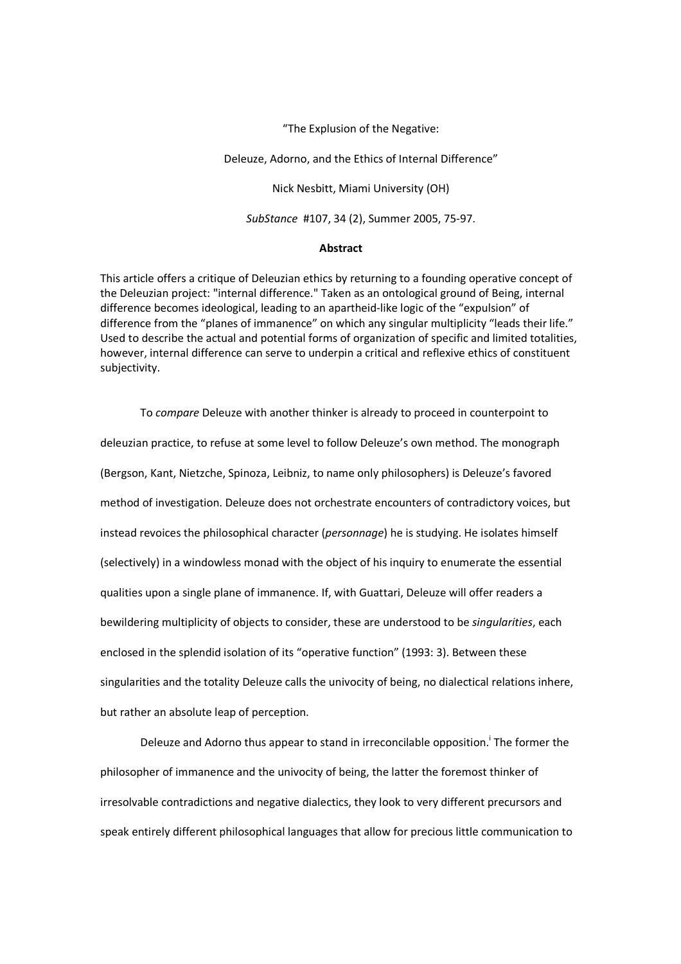"The Explusion of the Negative:

Deleuze, Adorno, and the Ethics of Internal Difference"

Nick Nesbitt, Miami University (OH)

*SubStance* #107, 34 (2), Summer 2005, 75-97.

## **Abstract**

This article offers a critique of Deleuzian ethics by returning to a founding operative concept of the Deleuzian project: "internal difference." Taken as an ontological ground of Being, internal difference becomes ideological, leading to an apartheid-like logic of the "expulsion" of difference from the "planes of immanence" on which any singular multiplicity "leads their life." Used to describe the actual and potential forms of organization of specific and limited totalities, however, internal difference can serve to underpin a critical and reflexive ethics of constituent subjectivity.

To *compare* Deleuze with another thinker is already to proceed in counterpoint to deleuzian practice, to refuse at some level to follow Deleuze's own method. The monograph (Bergson, Kant, Nietzche, Spinoza, Leibniz, to name only philosophers) is Deleuze's favored method of investigation. Deleuze does not orchestrate encounters of contradictory voices, but instead revoices the philosophical character (*personnage*) he is studying. He isolates himself (selectively) in a windowless monad with the object of his inquiry to enumerate the essential qualities upon a single plane of immanence. If, with Guattari, Deleuze will offer readers a bewildering multiplicity of objects to consider, these are understood to be *singularities*, each enclosed in the splendid isolation of its "operative function" (1993: 3). Between these singularities and the totality Deleuze calls the univocity of being, no dialectical relations inhere, but rather an absolute leap of perception.

Deleuze and Adorno thus appear to stand in irreconcilable opposition.<sup>i</sup> The former the philosopher of immanence and the univocity of being, the latter the foremost thinker of irresolvable contradictions and negative dialectics, they look to very different precursors and speak entirely different philosophical languages that allow for precious little communication to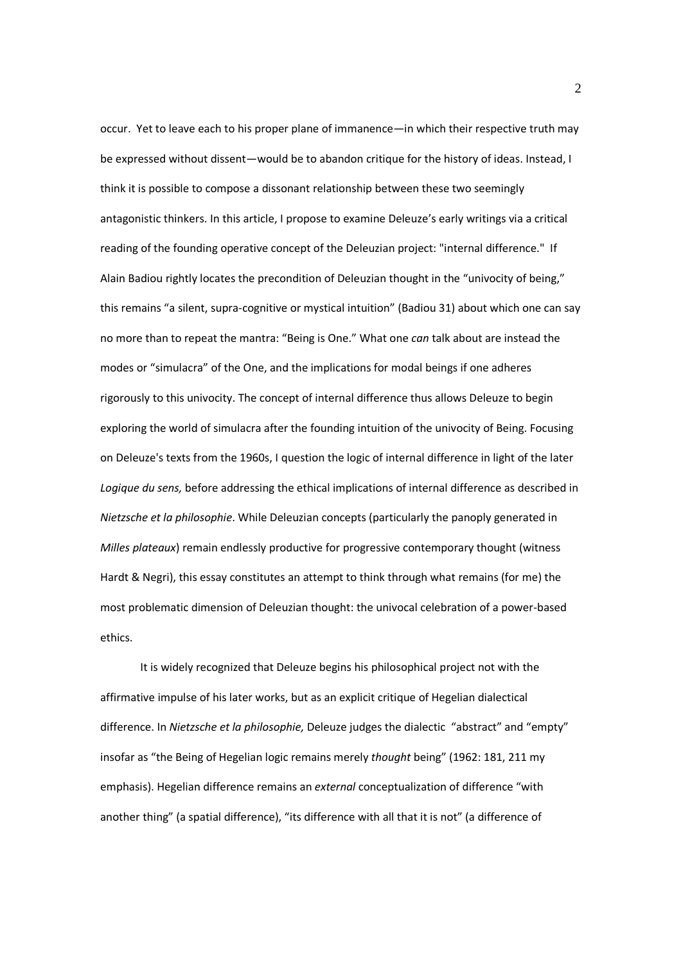occur. Yet to leave each to his proper plane of immanence—in which their respective truth may be expressed without dissent—would be to abandon critique for the history of ideas. Instead, I think it is possible to compose a dissonant relationship between these two seemingly antagonistic thinkers. In this article, I propose to examine Deleuze's early writings via a critical reading of the founding operative concept of the Deleuzian project: "internal difference." If Alain Badiou rightly locates the precondition of Deleuzian thought in the "univocity of being," this remains "a silent, supra-cognitive or mystical intuition" (Badiou 31) about which one can say no more than to repeat the mantra: "Being is One." What one *can* talk about are instead the modes or "simulacra" of the One, and the implications for modal beings if one adheres rigorously to this univocity. The concept of internal difference thus allows Deleuze to begin exploring the world of simulacra after the founding intuition of the univocity of Being. Focusing on Deleuze's texts from the 1960s, I question the logic of internal difference in light of the later *Logique du sens,* before addressing the ethical implications of internal difference as described in *Nietzsche et la philosophie*. While Deleuzian concepts (particularly the panoply generated in *Milles plateaux*) remain endlessly productive for progressive contemporary thought (witness Hardt & Negri), this essay constitutes an attempt to think through what remains (for me) the most problematic dimension of Deleuzian thought: the univocal celebration of a power-based ethics.

It is widely recognized that Deleuze begins his philosophical project not with the affirmative impulse of his later works, but as an explicit critique of Hegelian dialectical difference. In *Nietzsche et la philosophie,* Deleuze judges the dialectic "abstract" and "empty" insofar as "the Being of Hegelian logic remains merely *thought* being" (1962: 181, 211 my emphasis). Hegelian difference remains an *external* conceptualization of difference "with another thing" (a spatial difference), "its difference with all that it is not" (a difference of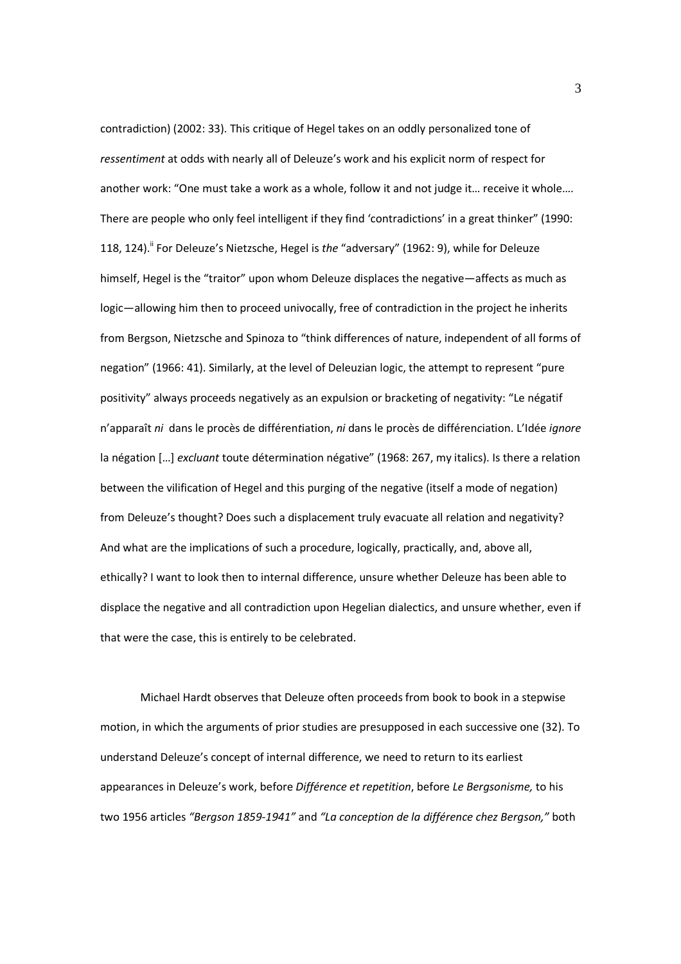contradiction) (2002: 33). This critique of Hegel takes on an oddly personalized tone of *ressentiment* at odds with nearly all of Deleuze's work and his explicit norm of respect for another work: "One must take a work as a whole, follow it and not judge it… receive it whole…. There are people who only feel intelligent if they find 'contradictions' in a great thinker" (1990: 118, 124).<sup>ii</sup> For Deleuze's Nietzsche, Hegel is *the "adversary"* (1962: 9), while for Deleuze himself, Hegel is the "traitor" upon whom Deleuze displaces the negative—affects as much as logic—allowing him then to proceed univocally, free of contradiction in the project he inherits from Bergson, Nietzsche and Spinoza to "think differences of nature, independent of all forms of negation" (1966: 41). Similarly, at the level of Deleuzian logic, the attempt to represent "pure positivity" always proceeds negatively as an expulsion or bracketing of negativity: "Le négatif n'apparaît *ni* dans le procès de différen*t*iation, *ni* dans le procès de différen*c*iation. L'Idée *ignore*  la négation […] *excluant* toute détermination négative" (1968: 267, my italics). Is there a relation between the vilification of Hegel and this purging of the negative (itself a mode of negation) from Deleuze's thought? Does such a displacement truly evacuate all relation and negativity? And what are the implications of such a procedure, logically, practically, and, above all, ethically? I want to look then to internal difference, unsure whether Deleuze has been able to displace the negative and all contradiction upon Hegelian dialectics, and unsure whether, even if that were the case, this is entirely to be celebrated.

Michael Hardt observes that Deleuze often proceeds from book to book in a stepwise motion, in which the arguments of prior studies are presupposed in each successive one (32). To understand Deleuze's concept of internal difference, we need to return to its earliest appearances in Deleuze's work, before *Différence et repetition*, before *Le Bergsonisme,* to his two 1956 articles *"Bergson 1859-1941"* and *"La conception de la différence chez Bergson,"* both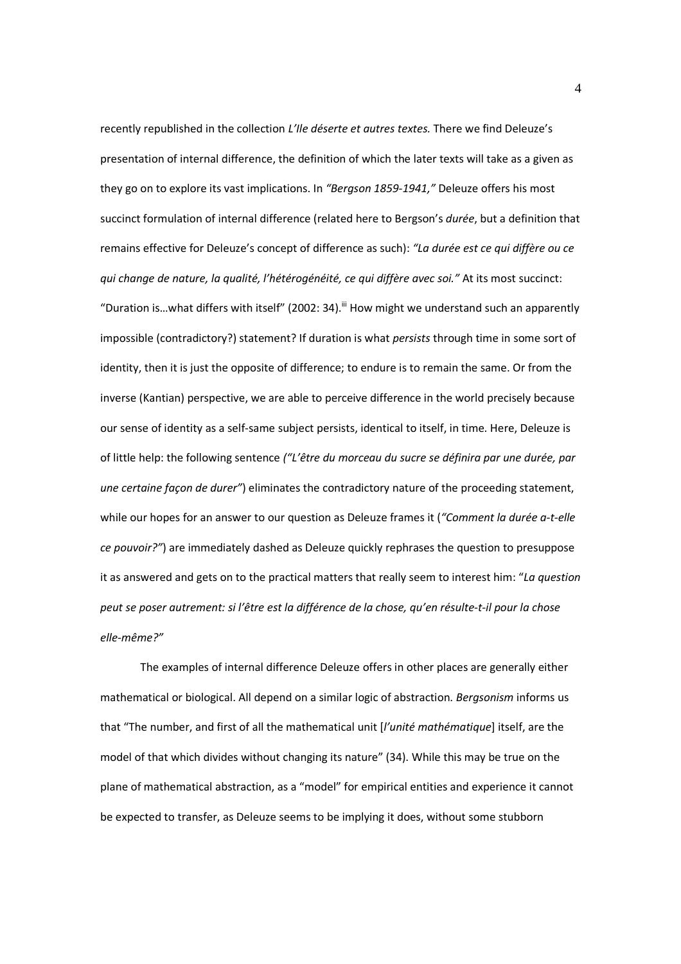recently republished in the collection *L'Ile déserte et autres textes.* There we find Deleuze's presentation of internal difference, the definition of which the later texts will take as a given as they go on to explore its vast implications. In *"Bergson 1859-1941,"* Deleuze offers his most succinct formulation of internal difference (related here to Bergson's *durée*, but a definition that remains effective for Deleuze's concept of difference as such): *"La durée est ce qui diffère ou ce qui change de nature, la qualité, l'hétérogénéité, ce qui diffère avec soi."* At its most succinct: "Duration is...what differs with itself" (2002: 34).<sup>iii</sup> How might we understand such an apparently impossible (contradictory?) statement? If duration is what *persists* through time in some sort of identity, then it is just the opposite of difference; to endure is to remain the same. Or from the inverse (Kantian) perspective, we are able to perceive difference in the world precisely because our sense of identity as a self-same subject persists, identical to itself, in time. Here, Deleuze is of little help: the following sentence *("L'être du morceau du sucre se définira par une durée, par une certaine façon de durer"*) eliminates the contradictory nature of the proceeding statement, while our hopes for an answer to our question as Deleuze frames it (*"Comment la durée a-t-elle ce pouvoir?"*) are immediately dashed as Deleuze quickly rephrases the question to presuppose it as answered and gets on to the practical matters that really seem to interest him: "*La question peut se poser autrement: si l'être est la différence de la chose, qu'en résulte-t-il pour la chose elle-même?"* 

The examples of internal difference Deleuze offers in other places are generally either mathematical or biological. All depend on a similar logic of abstraction. *Bergsonism* informs us that "The number, and first of all the mathematical unit [*l'unité mathématique*] itself, are the model of that which divides without changing its nature" (34). While this may be true on the plane of mathematical abstraction, as a "model" for empirical entities and experience it cannot be expected to transfer, as Deleuze seems to be implying it does, without some stubborn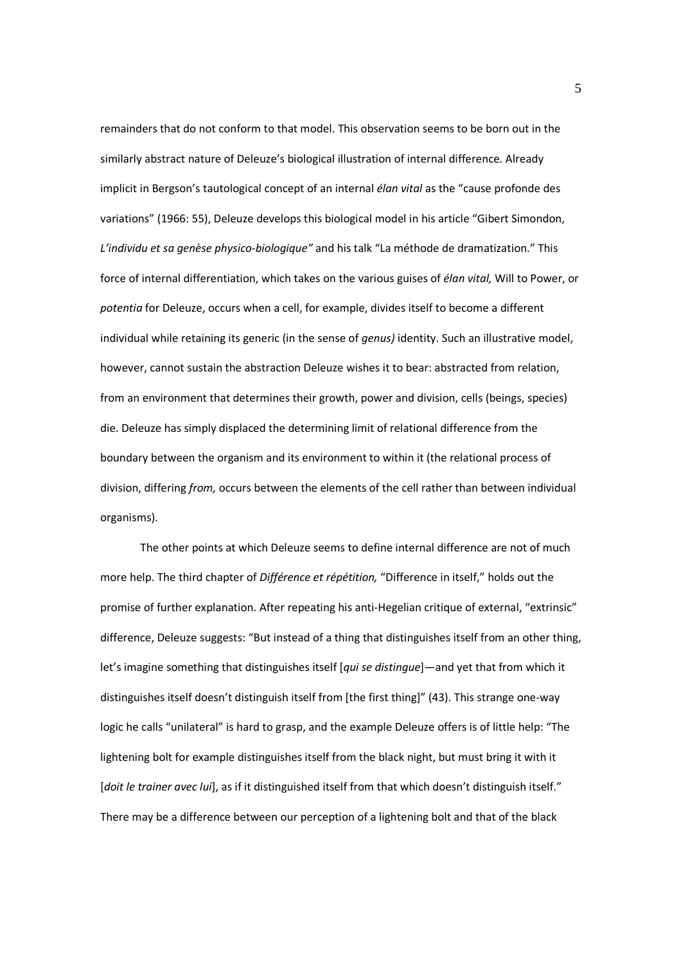remainders that do not conform to that model. This observation seems to be born out in the similarly abstract nature of Deleuze's biological illustration of internal difference. Already implicit in Bergson's tautological concept of an internal *élan vital* as the "cause profonde des variations" (1966: 55), Deleuze develops this biological model in his article "Gibert Simondon, *L'individu et sa genèse physico-biologique"* and his talk "La méthode de dramatization." This force of internal differentiation, which takes on the various guises of *élan vital,* Will to Power, or *potentia* for Deleuze, occurs when a cell, for example, divides itself to become a different individual while retaining its generic (in the sense of *genus)* identity. Such an illustrative model, however, cannot sustain the abstraction Deleuze wishes it to bear: abstracted from relation, from an environment that determines their growth, power and division, cells (beings, species) die. Deleuze has simply displaced the determining limit of relational difference from the boundary between the organism and its environment to within it (the relational process of division, differing *from,* occurs between the elements of the cell rather than between individual organisms).

The other points at which Deleuze seems to define internal difference are not of much more help. The third chapter of *Différence et répétition,* "Difference in itself," holds out the promise of further explanation. After repeating his anti-Hegelian critique of external, "extrinsic" difference, Deleuze suggests: "But instead of a thing that distinguishes itself from an other thing, let's imagine something that distinguishes itself [*qui se distingue*]—and yet that from which it distinguishes itself doesn't distinguish itself from [the first thing]" (43). This strange one-way logic he calls "unilateral" is hard to grasp, and the example Deleuze offers is of little help: "The lightening bolt for example distinguishes itself from the black night, but must bring it with it [*doit le trainer avec lui*], as if it distinguished itself from that which doesn't distinguish itself." There may be a difference between our perception of a lightening bolt and that of the black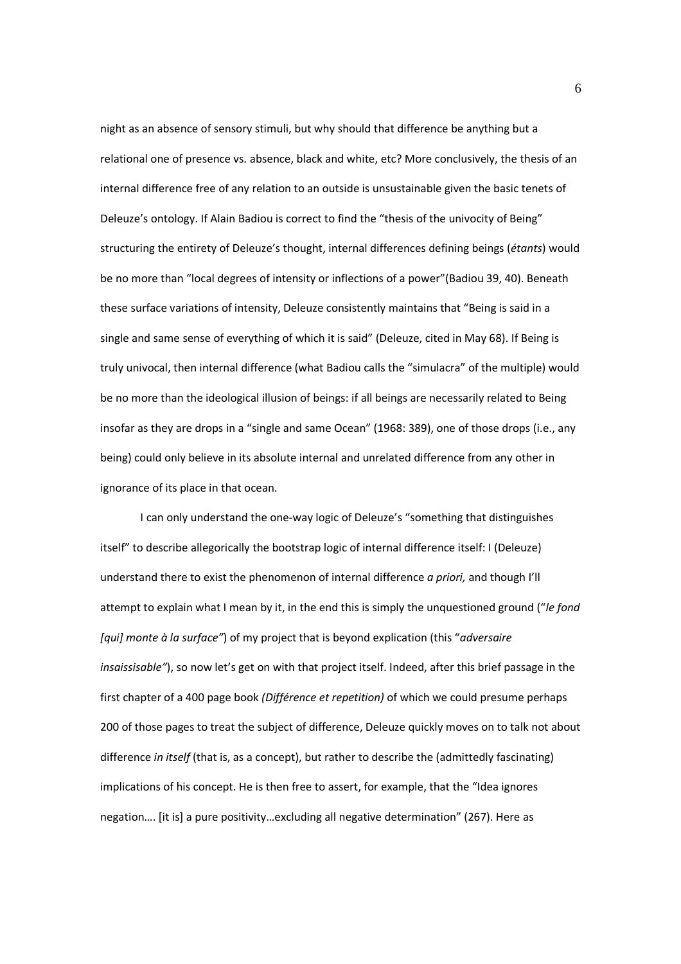night as an absence of sensory stimuli, but why should that difference be anything but a relational one of presence vs. absence, black and white, etc? More conclusively, the thesis of an internal difference free of any relation to an outside is unsustainable given the basic tenets of Deleuze's ontology. If Alain Badiou is correct to find the "thesis of the univocity of Being" structuring the entirety of Deleuze's thought, internal differences defining beings (*étants*) would be no more than "local degrees of intensity or inflections of a power"(Badiou 39, 40). Beneath these surface variations of intensity, Deleuze consistently maintains that "Being is said in a single and same sense of everything of which it is said" (Deleuze, cited in May 68). If Being is truly univocal, then internal difference (what Badiou calls the "simulacra" of the multiple) would be no more than the ideological illusion of beings: if all beings are necessarily related to Being insofar as they are drops in a "single and same Ocean" (1968: 389), one of those drops (i.e., any being) could only believe in its absolute internal and unrelated difference from any other in ignorance of its place in that ocean.

I can only understand the one-way logic of Deleuze's "something that distinguishes itself" to describe allegorically the bootstrap logic of internal difference itself: I (Deleuze) understand there to exist the phenomenon of internal difference *a priori,* and though I'll attempt to explain what I mean by it, in the end this is simply the unquestioned ground ("*le fond [qui] monte à la surface"*) of my project that is beyond explication (this "*adversaire insaissisable"*), so now let's get on with that project itself. Indeed, after this brief passage in the first chapter of a 400 page book *(Différence et repetition)* of which we could presume perhaps 200 of those pages to treat the subject of difference, Deleuze quickly moves on to talk not about difference *in itself* (that is, as a concept), but rather to describe the (admittedly fascinating) implications of his concept. He is then free to assert, for example, that the "Idea ignores negation…. [it is] a pure positivity…excluding all negative determination" (267). Here as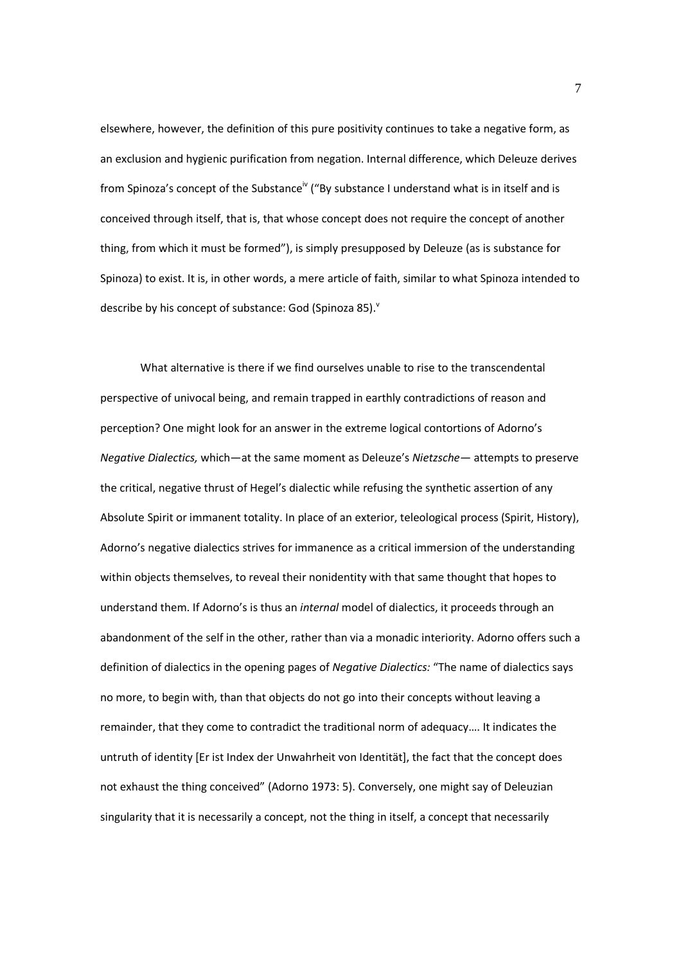elsewhere, however, the definition of this pure positivity continues to take a negative form, as an exclusion and hygienic purification from negation. Internal difference, which Deleuze derives from Spinoza's concept of the Substance<sup>iv</sup> ("By substance I understand what is in itself and is conceived through itself, that is, that whose concept does not require the concept of another thing, from which it must be formed"), is simply presupposed by Deleuze (as is substance for Spinoza) to exist. It is, in other words, a mere article of faith, similar to what Spinoza intended to describe by his concept of substance: God (Spinoza 85). $^{\circ}$ 

What alternative is there if we find ourselves unable to rise to the transcendental perspective of univocal being, and remain trapped in earthly contradictions of reason and perception? One might look for an answer in the extreme logical contortions of Adorno's *Negative Dialectics,* which—at the same moment as Deleuze's *Nietzsche—* attempts to preserve the critical, negative thrust of Hegel's dialectic while refusing the synthetic assertion of any Absolute Spirit or immanent totality. In place of an exterior, teleological process (Spirit, History), Adorno's negative dialectics strives for immanence as a critical immersion of the understanding within objects themselves, to reveal their nonidentity with that same thought that hopes to understand them. If Adorno's is thus an *internal* model of dialectics, it proceeds through an abandonment of the self in the other, rather than via a monadic interiority. Adorno offers such a definition of dialectics in the opening pages of *Negative Dialectics:* "The name of dialectics says no more, to begin with, than that objects do not go into their concepts without leaving a remainder, that they come to contradict the traditional norm of adequacy…. It indicates the untruth of identity [Er ist Index der Unwahrheit von Identität], the fact that the concept does not exhaust the thing conceived" (Adorno 1973: 5). Conversely, one might say of Deleuzian singularity that it is necessarily a concept, not the thing in itself, a concept that necessarily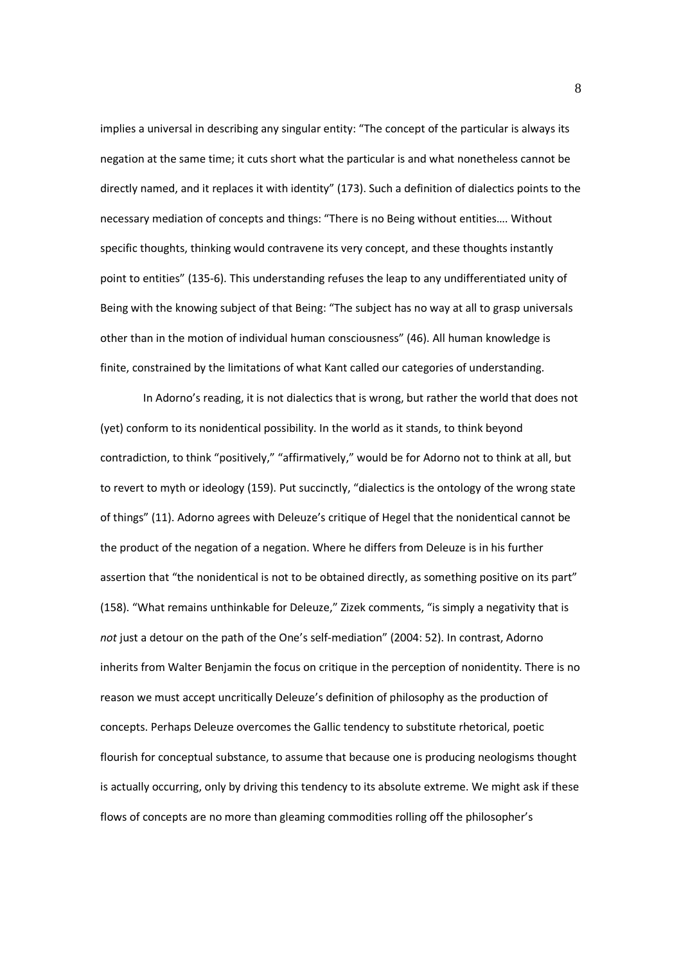implies a universal in describing any singular entity: "The concept of the particular is always its negation at the same time; it cuts short what the particular is and what nonetheless cannot be directly named, and it replaces it with identity" (173). Such a definition of dialectics points to the necessary mediation of concepts and things: "There is no Being without entities…. Without specific thoughts, thinking would contravene its very concept, and these thoughts instantly point to entities" (135-6). This understanding refuses the leap to any undifferentiated unity of Being with the knowing subject of that Being: "The subject has no way at all to grasp universals other than in the motion of individual human consciousness" (46). All human knowledge is finite, constrained by the limitations of what Kant called our categories of understanding.

 In Adorno's reading, it is not dialectics that is wrong, but rather the world that does not (yet) conform to its nonidentical possibility. In the world as it stands, to think beyond contradiction, to think "positively," "affirmatively," would be for Adorno not to think at all, but to revert to myth or ideology (159). Put succinctly, "dialectics is the ontology of the wrong state of things" (11). Adorno agrees with Deleuze's critique of Hegel that the nonidentical cannot be the product of the negation of a negation. Where he differs from Deleuze is in his further assertion that "the nonidentical is not to be obtained directly, as something positive on its part" (158). "What remains unthinkable for Deleuze," Zizek comments, "is simply a negativity that is not just a detour on the path of the One's self-mediation" (2004: 52). In contrast, Adorno inherits from Walter Benjamin the focus on critique in the perception of nonidentity. There is no reason we must accept uncritically Deleuze's definition of philosophy as the production of concepts. Perhaps Deleuze overcomes the Gallic tendency to substitute rhetorical, poetic flourish for conceptual substance, to assume that because one is producing neologisms thought is actually occurring, only by driving this tendency to its absolute extreme. We might ask if these flows of concepts are no more than gleaming commodities rolling off the philosopher's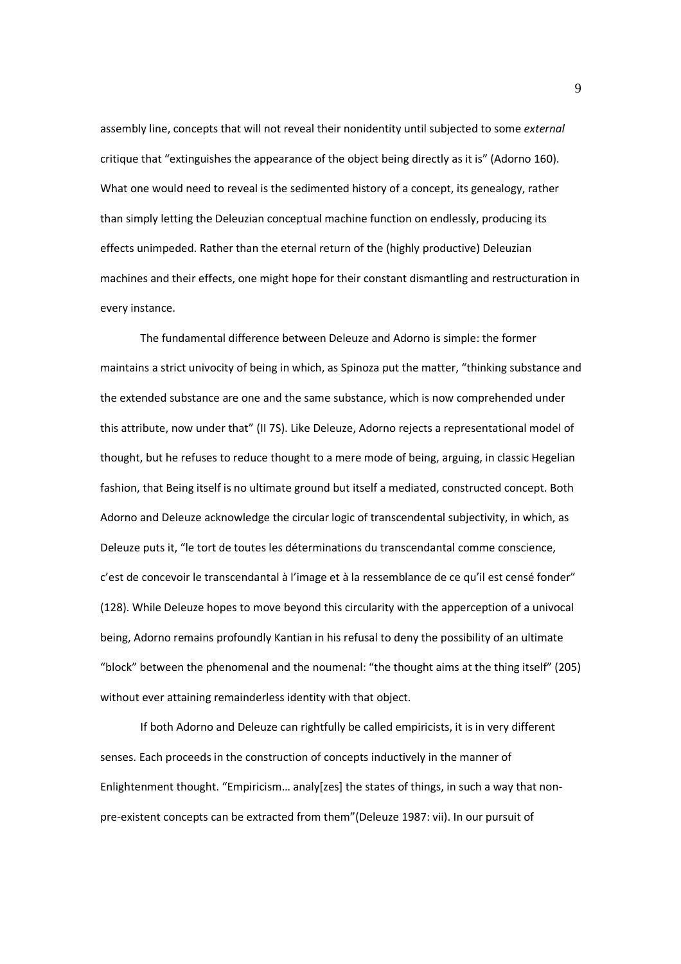assembly line, concepts that will not reveal their nonidentity until subjected to some *external* critique that "extinguishes the appearance of the object being directly as it is" (Adorno 160). What one would need to reveal is the sedimented history of a concept, its genealogy, rather than simply letting the Deleuzian conceptual machine function on endlessly, producing its effects unimpeded. Rather than the eternal return of the (highly productive) Deleuzian machines and their effects, one might hope for their constant dismantling and restructuration in every instance.

The fundamental difference between Deleuze and Adorno is simple: the former maintains a strict univocity of being in which, as Spinoza put the matter, "thinking substance and the extended substance are one and the same substance, which is now comprehended under this attribute, now under that" (II 7S). Like Deleuze, Adorno rejects a representational model of thought, but he refuses to reduce thought to a mere mode of being, arguing, in classic Hegelian fashion, that Being itself is no ultimate ground but itself a mediated, constructed concept. Both Adorno and Deleuze acknowledge the circular logic of transcendental subjectivity, in which, as Deleuze puts it, "le tort de toutes les déterminations du transcendantal comme conscience, c'est de concevoir le transcendantal à l'image et à la ressemblance de ce qu'il est censé fonder" (128). While Deleuze hopes to move beyond this circularity with the apperception of a univocal being, Adorno remains profoundly Kantian in his refusal to deny the possibility of an ultimate "block" between the phenomenal and the noumenal: "the thought aims at the thing itself" (205) without ever attaining remainderless identity with that object.

If both Adorno and Deleuze can rightfully be called empiricists, it is in very different senses. Each proceeds in the construction of concepts inductively in the manner of Enlightenment thought. "Empiricism… analy[zes] the states of things, in such a way that nonpre-existent concepts can be extracted from them"(Deleuze 1987: vii). In our pursuit of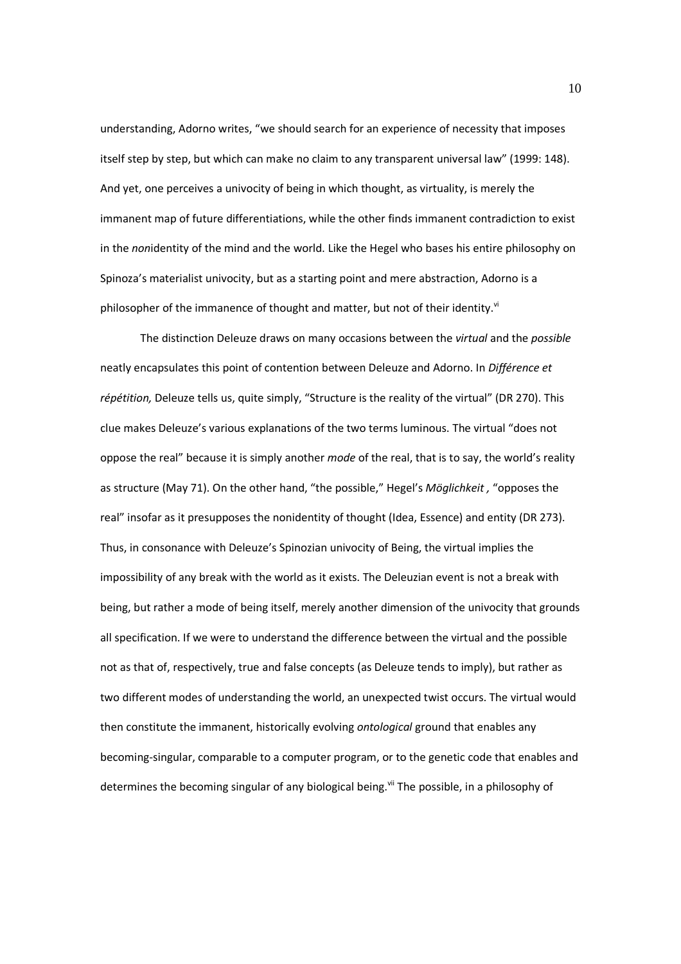understanding, Adorno writes, "we should search for an experience of necessity that imposes itself step by step, but which can make no claim to any transparent universal law" (1999: 148). And yet, one perceives a univocity of being in which thought, as virtuality, is merely the immanent map of future differentiations, while the other finds immanent contradiction to exist in the *non*identity of the mind and the world. Like the Hegel who bases his entire philosophy on Spinoza's materialist univocity, but as a starting point and mere abstraction, Adorno is a philosopher of the immanence of thought and matter, but not of their identity. $v^i$ 

The distinction Deleuze draws on many occasions between the *virtual* and the *possible* neatly encapsulates this point of contention between Deleuze and Adorno. In *Différence et répétition,* Deleuze tells us, quite simply, "Structure is the reality of the virtual" (DR 270). This clue makes Deleuze's various explanations of the two terms luminous. The virtual "does not oppose the real" because it is simply another *mode* of the real, that is to say, the world's reality as structure (May 71). On the other hand, "the possible," Hegel's *Möglichkeit ,* "opposes the real" insofar as it presupposes the nonidentity of thought (Idea, Essence) and entity (DR 273). Thus, in consonance with Deleuze's Spinozian univocity of Being, the virtual implies the impossibility of any break with the world as it exists. The Deleuzian event is not a break with being, but rather a mode of being itself, merely another dimension of the univocity that grounds all specification. If we were to understand the difference between the virtual and the possible not as that of, respectively, true and false concepts (as Deleuze tends to imply), but rather as two different modes of understanding the world, an unexpected twist occurs. The virtual would then constitute the immanent, historically evolving *ontological* ground that enables any becoming-singular, comparable to a computer program, or to the genetic code that enables and determines the becoming singular of any biological being.<sup>vii</sup> The possible, in a philosophy of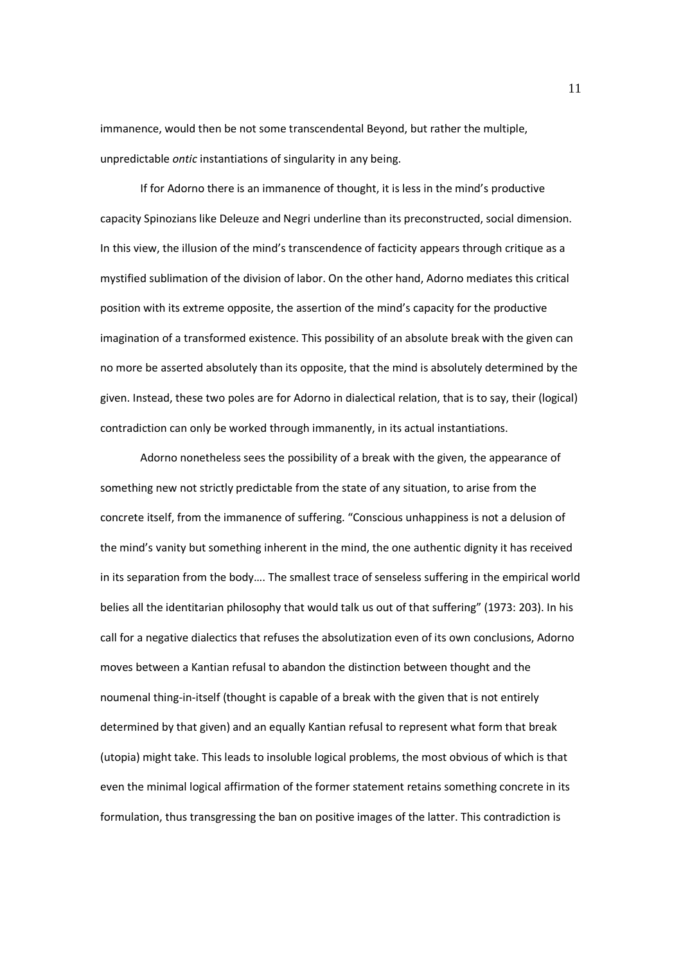immanence, would then be not some transcendental Beyond, but rather the multiple, unpredictable *ontic* instantiations of singularity in any being.

If for Adorno there is an immanence of thought, it is less in the mind's productive capacity Spinozians like Deleuze and Negri underline than its preconstructed, social dimension. In this view, the illusion of the mind's transcendence of facticity appears through critique as a mystified sublimation of the division of labor. On the other hand, Adorno mediates this critical position with its extreme opposite, the assertion of the mind's capacity for the productive imagination of a transformed existence. This possibility of an absolute break with the given can no more be asserted absolutely than its opposite, that the mind is absolutely determined by the given. Instead, these two poles are for Adorno in dialectical relation, that is to say, their (logical) contradiction can only be worked through immanently, in its actual instantiations.

Adorno nonetheless sees the possibility of a break with the given, the appearance of something new not strictly predictable from the state of any situation, to arise from the concrete itself, from the immanence of suffering. "Conscious unhappiness is not a delusion of the mind's vanity but something inherent in the mind, the one authentic dignity it has received in its separation from the body…. The smallest trace of senseless suffering in the empirical world belies all the identitarian philosophy that would talk us out of that suffering" (1973: 203). In his call for a negative dialectics that refuses the absolutization even of its own conclusions, Adorno moves between a Kantian refusal to abandon the distinction between thought and the noumenal thing-in-itself (thought is capable of a break with the given that is not entirely determined by that given) and an equally Kantian refusal to represent what form that break (utopia) might take. This leads to insoluble logical problems, the most obvious of which is that even the minimal logical affirmation of the former statement retains something concrete in its formulation, thus transgressing the ban on positive images of the latter. This contradiction is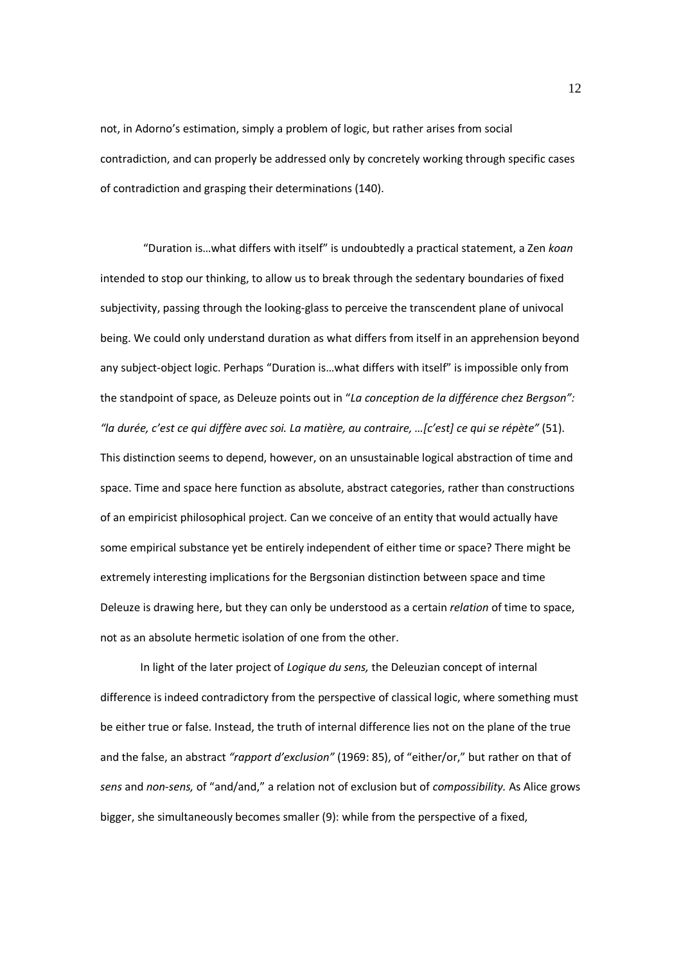not, in Adorno's estimation, simply a problem of logic, but rather arises from social contradiction, and can properly be addressed only by concretely working through specific cases of contradiction and grasping their determinations (140).

 "Duration is…what differs with itself" is undoubtedly a practical statement, a Zen *koan* intended to stop our thinking, to allow us to break through the sedentary boundaries of fixed subjectivity, passing through the looking-glass to perceive the transcendent plane of univocal being. We could only understand duration as what differs from itself in an apprehension beyond any subject-object logic. Perhaps "Duration is…what differs with itself" is impossible only from the standpoint of space, as Deleuze points out in "*La conception de la différence chez Bergson": "la durée, c'est ce qui diffère avec soi. La matière, au contraire, …[c'est] ce qui se répète"* (51). This distinction seems to depend, however, on an unsustainable logical abstraction of time and space. Time and space here function as absolute, abstract categories, rather than constructions of an empiricist philosophical project. Can we conceive of an entity that would actually have some empirical substance yet be entirely independent of either time or space? There might be extremely interesting implications for the Bergsonian distinction between space and time Deleuze is drawing here, but they can only be understood as a certain *relation* of time to space, not as an absolute hermetic isolation of one from the other.

In light of the later project of *Logique du sens,* the Deleuzian concept of internal difference is indeed contradictory from the perspective of classical logic, where something must be either true or false. Instead, the truth of internal difference lies not on the plane of the true and the false, an abstract *"rapport d'exclusion"* (1969: 85), of "either/or," but rather on that of *sens* and *non-sens,* of "and/and," a relation not of exclusion but of *compossibility.* As Alice grows bigger, she simultaneously becomes smaller (9): while from the perspective of a fixed,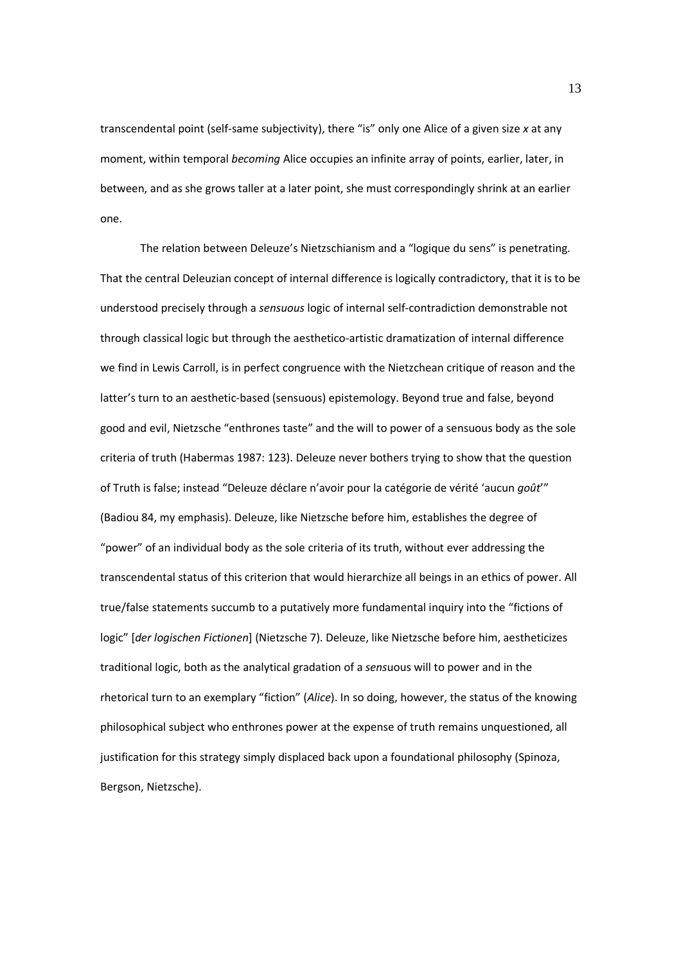transcendental point (self-same subjectivity), there "is" only one Alice of a given size *x* at any moment, within temporal *becoming* Alice occupies an infinite array of points, earlier, later, in between, and as she grows taller at a later point, she must correspondingly shrink at an earlier one.

The relation between Deleuze's Nietzschianism and a "logique du sens" is penetrating. That the central Deleuzian concept of internal difference is logically contradictory, that it is to be understood precisely through a *sensuous* logic of internal self-contradiction demonstrable not through classical logic but through the aesthetico-artistic dramatization of internal difference we find in Lewis Carroll, is in perfect congruence with the Nietzchean critique of reason and the latter's turn to an aesthetic-based (sensuous) epistemology. Beyond true and false, beyond good and evil, Nietzsche "enthrones taste" and the will to power of a sensuous body as the sole criteria of truth (Habermas 1987: 123). Deleuze never bothers trying to show that the question of Truth is false; instead "Deleuze déclare n'avoir pour la catégorie de vérité 'aucun *goût*'" (Badiou 84, my emphasis). Deleuze, like Nietzsche before him, establishes the degree of "power" of an individual body as the sole criteria of its truth, without ever addressing the transcendental status of this criterion that would hierarchize all beings in an ethics of power. All true/false statements succumb to a putatively more fundamental inquiry into the "fictions of logic" [*der logischen Fictionen*] (Nietzsche 7). Deleuze, like Nietzsche before him, aestheticizes traditional logic, both as the analytical gradation of a *sens*uous will to power and in the rhetorical turn to an exemplary "fiction" (*Alice*). In so doing, however, the status of the knowing philosophical subject who enthrones power at the expense of truth remains unquestioned, all justification for this strategy simply displaced back upon a foundational philosophy (Spinoza, Bergson, Nietzsche).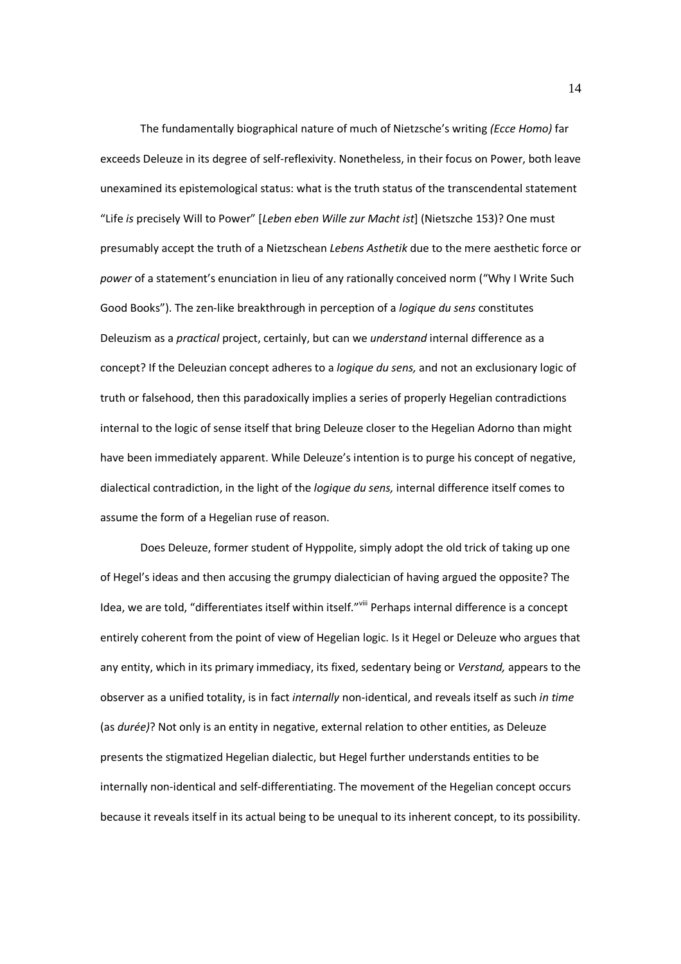The fundamentally biographical nature of much of Nietzsche's writing *(Ecce Homo)* far exceeds Deleuze in its degree of self-reflexivity. Nonetheless, in their focus on Power, both leave unexamined its epistemological status: what is the truth status of the transcendental statement "Life *is* precisely Will to Power" [*Leben eben Wille zur Macht ist*] (Nietszche 153)? One must presumably accept the truth of a Nietzschean *Lebens Asthetik* due to the mere aesthetic force or *power* of a statement's enunciation in lieu of any rationally conceived norm ("Why I Write Such Good Books"). The zen-like breakthrough in perception of a *logique du sens* constitutes Deleuzism as a *practical* project, certainly, but can we *understand* internal difference as a concept? If the Deleuzian concept adheres to a *logique du sens,* and not an exclusionary logic of truth or falsehood, then this paradoxically implies a series of properly Hegelian contradictions internal to the logic of sense itself that bring Deleuze closer to the Hegelian Adorno than might have been immediately apparent. While Deleuze's intention is to purge his concept of negative, dialectical contradiction, in the light of the *logique du sens,* internal difference itself comes to assume the form of a Hegelian ruse of reason.

Does Deleuze, former student of Hyppolite, simply adopt the old trick of taking up one of Hegel's ideas and then accusing the grumpy dialectician of having argued the opposite? The Idea, we are told, "differentiates itself within itself."<sup>viii</sup> Perhaps internal difference is a concept entirely coherent from the point of view of Hegelian logic. Is it Hegel or Deleuze who argues that any entity, which in its primary immediacy, its fixed, sedentary being or *Verstand,* appears to the observer as a unified totality, is in fact *internally* non-identical, and reveals itself as such *in time*  (as *durée)*? Not only is an entity in negative, external relation to other entities, as Deleuze presents the stigmatized Hegelian dialectic, but Hegel further understands entities to be internally non-identical and self-differentiating. The movement of the Hegelian concept occurs because it reveals itself in its actual being to be unequal to its inherent concept, to its possibility.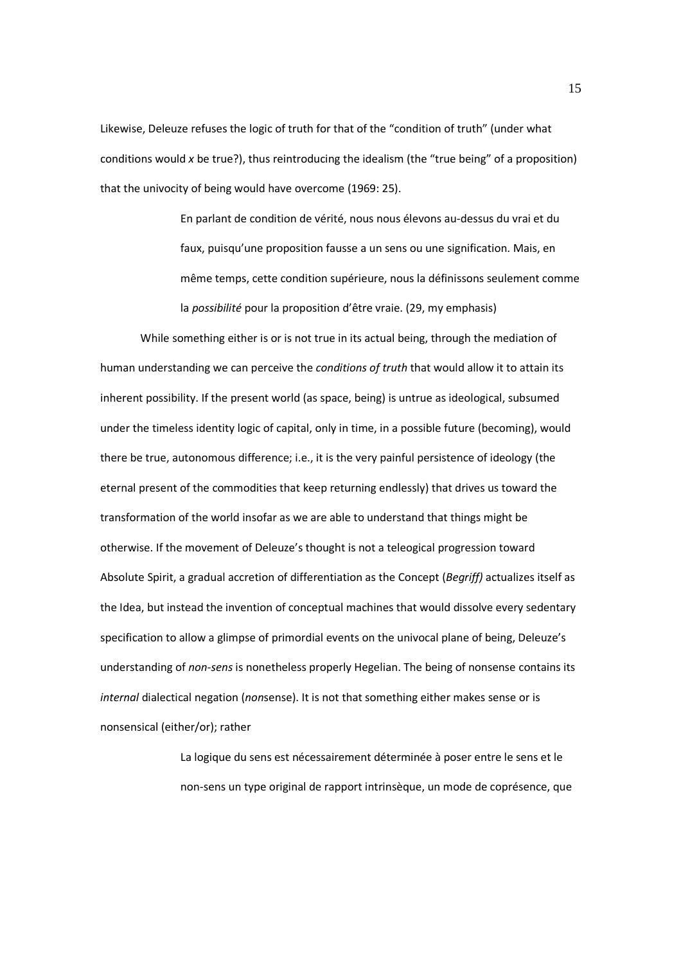Likewise, Deleuze refuses the logic of truth for that of the "condition of truth" (under what conditions would *x* be true?), thus reintroducing the idealism (the "true being" of a proposition) that the univocity of being would have overcome (1969: 25).

> En parlant de condition de vérité, nous nous élevons au-dessus du vrai et du faux, puisqu'une proposition fausse a un sens ou une signification. Mais, en même temps, cette condition supérieure, nous la définissons seulement comme la *possibilité* pour la proposition d'être vraie. (29, my emphasis)

While something either is or is not true in its actual being, through the mediation of human understanding we can perceive the *conditions of truth* that would allow it to attain its inherent possibility. If the present world (as space, being) is untrue as ideological, subsumed under the timeless identity logic of capital, only in time, in a possible future (becoming), would there be true, autonomous difference; i.e., it is the very painful persistence of ideology (the eternal present of the commodities that keep returning endlessly) that drives us toward the transformation of the world insofar as we are able to understand that things might be otherwise. If the movement of Deleuze's thought is not a teleogical progression toward Absolute Spirit, a gradual accretion of differentiation as the Concept (*Begriff)* actualizes itself as the Idea, but instead the invention of conceptual machines that would dissolve every sedentary specification to allow a glimpse of primordial events on the univocal plane of being, Deleuze's understanding of *non-sens* is nonetheless properly Hegelian. The being of nonsense contains its *internal* dialectical negation (*non*sense). It is not that something either makes sense or is nonsensical (either/or); rather

> La logique du sens est nécessairement déterminée à poser entre le sens et le non-sens un type original de rapport intrinsèque, un mode de coprésence, que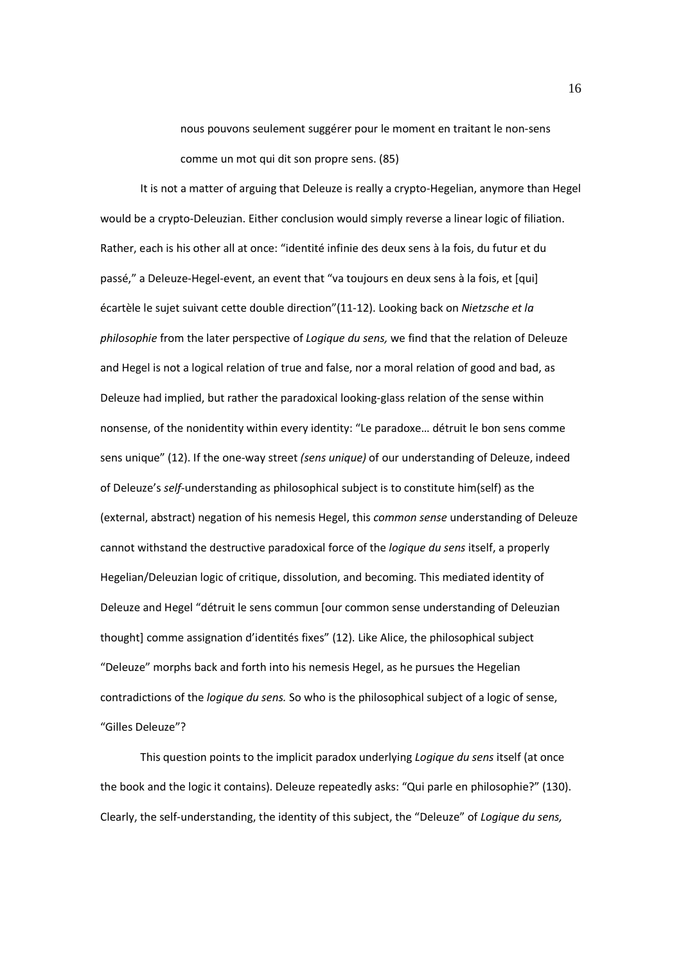nous pouvons seulement suggérer pour le moment en traitant le non-sens comme un mot qui dit son propre sens. (85)

It is not a matter of arguing that Deleuze is really a crypto-Hegelian, anymore than Hegel would be a crypto-Deleuzian. Either conclusion would simply reverse a linear logic of filiation. Rather, each is his other all at once: "identité infinie des deux sens à la fois, du futur et du passé," a Deleuze-Hegel-event, an event that "va toujours en deux sens à la fois, et [qui] écartèle le sujet suivant cette double direction"(11-12). Looking back on *Nietzsche et la philosophie* from the later perspective of *Logique du sens,* we find that the relation of Deleuze and Hegel is not a logical relation of true and false, nor a moral relation of good and bad, as Deleuze had implied, but rather the paradoxical looking-glass relation of the sense within nonsense, of the nonidentity within every identity: "Le paradoxe… détruit le bon sens comme sens unique" (12). If the one-way street *(sens unique)* of our understanding of Deleuze, indeed of Deleuze's *self*-understanding as philosophical subject is to constitute him(self) as the (external, abstract) negation of his nemesis Hegel, this *common sense* understanding of Deleuze cannot withstand the destructive paradoxical force of the *logique du sens* itself, a properly Hegelian/Deleuzian logic of critique, dissolution, and becoming. This mediated identity of Deleuze and Hegel "détruit le sens commun [our common sense understanding of Deleuzian thought] comme assignation d'identités fixes" (12). Like Alice, the philosophical subject "Deleuze" morphs back and forth into his nemesis Hegel, as he pursues the Hegelian contradictions of the *logique du sens.* So who is the philosophical subject of a logic of sense, "Gilles Deleuze"?

This question points to the implicit paradox underlying *Logique du sens* itself (at once the book and the logic it contains). Deleuze repeatedly asks: "Qui parle en philosophie?" (130). Clearly, the self-understanding, the identity of this subject, the "Deleuze" of *Logique du sens,*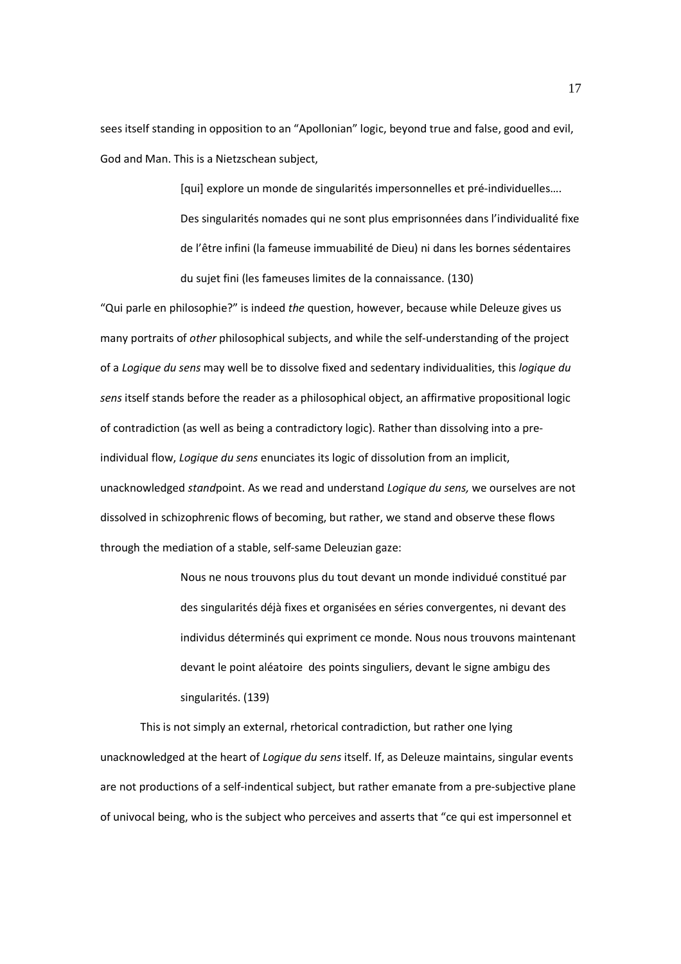sees itself standing in opposition to an "Apollonian" logic, beyond true and false, good and evil, God and Man. This is a Nietzschean subject,

> [qui] explore un monde de singularités impersonnelles et pré-individuelles…. Des singularités nomades qui ne sont plus emprisonnées dans l'individualité fixe de l'être infini (la fameuse immuabilité de Dieu) ni dans les bornes sédentaires du sujet fini (les fameuses limites de la connaissance. (130)

"Qui parle en philosophie?" is indeed *the* question, however, because while Deleuze gives us many portraits of *other* philosophical subjects, and while the self-understanding of the project of a *Logique du sens* may well be to dissolve fixed and sedentary individualities, this *logique du sens* itself stands before the reader as a philosophical object, an affirmative propositional logic of contradiction (as well as being a contradictory logic). Rather than dissolving into a preindividual flow, *Logique du sens* enunciates its logic of dissolution from an implicit, unacknowledged *stand*point. As we read and understand *Logique du sens,* we ourselves are not dissolved in schizophrenic flows of becoming, but rather, we stand and observe these flows through the mediation of a stable, self-same Deleuzian gaze:

> Nous ne nous trouvons plus du tout devant un monde individué constitué par des singularités déjà fixes et organisées en séries convergentes, ni devant des individus déterminés qui expriment ce monde. Nous nous trouvons maintenant devant le point aléatoire des points singuliers, devant le signe ambigu des singularités. (139)

This is not simply an external, rhetorical contradiction, but rather one lying unacknowledged at the heart of *Logique du sens* itself. If, as Deleuze maintains, singular events are not productions of a self-indentical subject, but rather emanate from a pre-subjective plane of univocal being, who is the subject who perceives and asserts that "ce qui est impersonnel et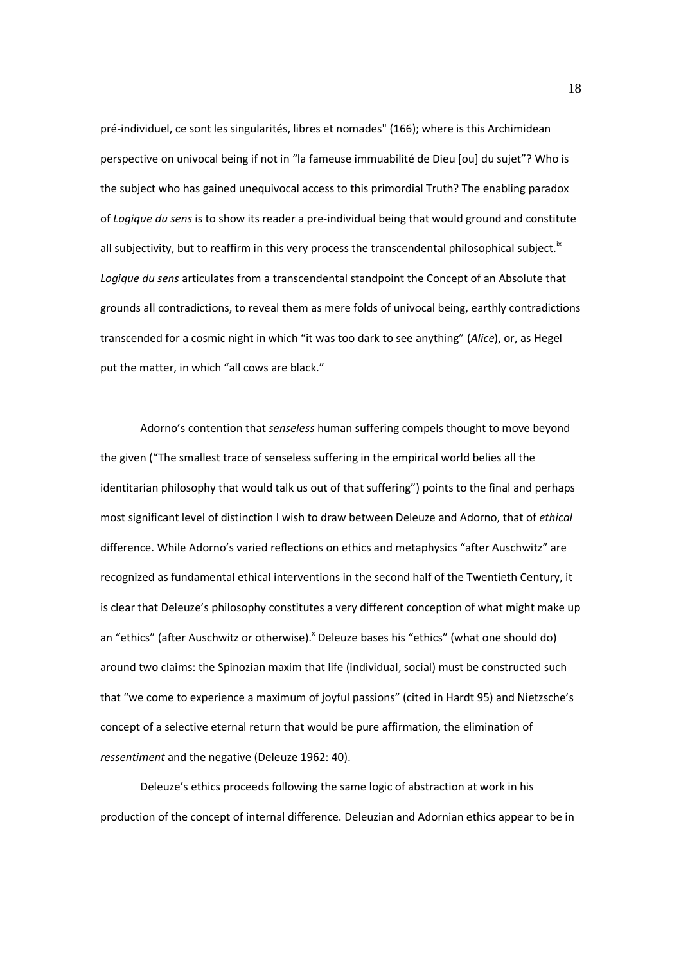pré-individuel, ce sont les singularités, libres et nomades" (166); where is this Archimidean perspective on univocal being if not in "la fameuse immuabilité de Dieu [ou] du sujet"? Who is the subject who has gained unequivocal access to this primordial Truth? The enabling paradox of *Logique du sens* is to show its reader a pre-individual being that would ground and constitute all subjectivity, but to reaffirm in this very process the transcendental philosophical subject.<sup>ix</sup> *Logique du sens* articulates from a transcendental standpoint the Concept of an Absolute that grounds all contradictions, to reveal them as mere folds of univocal being, earthly contradictions transcended for a cosmic night in which "it was too dark to see anything" (*Alice*), or, as Hegel put the matter, in which "all cows are black."

Adorno's contention that *senseless* human suffering compels thought to move beyond the given ("The smallest trace of senseless suffering in the empirical world belies all the identitarian philosophy that would talk us out of that suffering") points to the final and perhaps most significant level of distinction I wish to draw between Deleuze and Adorno, that of *ethical* difference. While Adorno's varied reflections on ethics and metaphysics "after Auschwitz" are recognized as fundamental ethical interventions in the second half of the Twentieth Century, it is clear that Deleuze's philosophy constitutes a very different conception of what might make up an "ethics" (after Auschwitz or otherwise). <sup>X</sup> Deleuze bases his "ethics" (what one should do) around two claims: the Spinozian maxim that life (individual, social) must be constructed such that "we come to experience a maximum of joyful passions" (cited in Hardt 95) and Nietzsche's concept of a selective eternal return that would be pure affirmation, the elimination of *ressentiment* and the negative (Deleuze 1962: 40).

Deleuze's ethics proceeds following the same logic of abstraction at work in his production of the concept of internal difference. Deleuzian and Adornian ethics appear to be in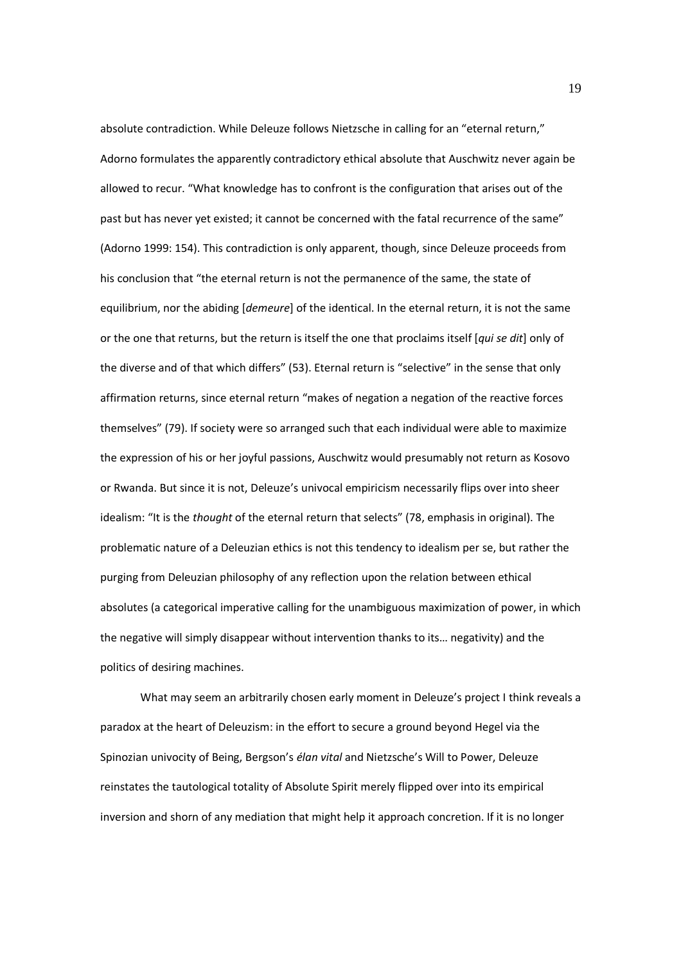absolute contradiction. While Deleuze follows Nietzsche in calling for an "eternal return," Adorno formulates the apparently contradictory ethical absolute that Auschwitz never again be allowed to recur. "What knowledge has to confront is the configuration that arises out of the past but has never yet existed; it cannot be concerned with the fatal recurrence of the same" (Adorno 1999: 154). This contradiction is only apparent, though, since Deleuze proceeds from his conclusion that "the eternal return is not the permanence of the same, the state of equilibrium, nor the abiding [*demeure*] of the identical. In the eternal return, it is not the same or the one that returns, but the return is itself the one that proclaims itself [*qui se dit*] only of the diverse and of that which differs" (53). Eternal return is "selective" in the sense that only affirmation returns, since eternal return "makes of negation a negation of the reactive forces themselves" (79). If society were so arranged such that each individual were able to maximize the expression of his or her joyful passions, Auschwitz would presumably not return as Kosovo or Rwanda. But since it is not, Deleuze's univocal empiricism necessarily flips over into sheer idealism: "It is the *thought* of the eternal return that selects" (78, emphasis in original). The problematic nature of a Deleuzian ethics is not this tendency to idealism per se, but rather the purging from Deleuzian philosophy of any reflection upon the relation between ethical absolutes (a categorical imperative calling for the unambiguous maximization of power, in which the negative will simply disappear without intervention thanks to its… negativity) and the politics of desiring machines.

What may seem an arbitrarily chosen early moment in Deleuze's project I think reveals a paradox at the heart of Deleuzism: in the effort to secure a ground beyond Hegel via the Spinozian univocity of Being, Bergson's *élan vital* and Nietzsche's Will to Power, Deleuze reinstates the tautological totality of Absolute Spirit merely flipped over into its empirical inversion and shorn of any mediation that might help it approach concretion. If it is no longer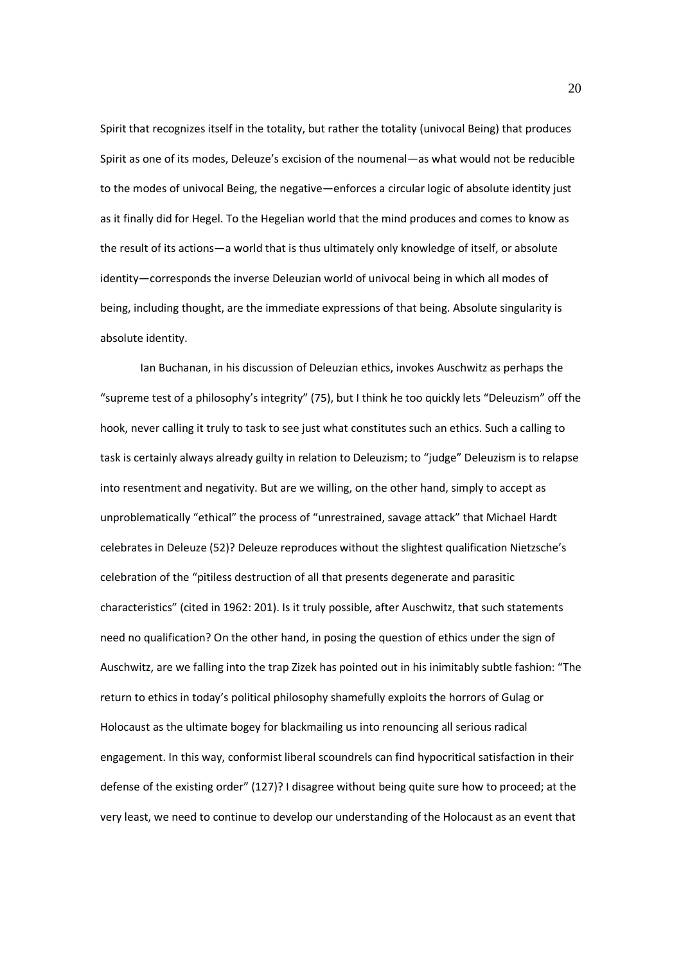Spirit that recognizes itself in the totality, but rather the totality (univocal Being) that produces Spirit as one of its modes, Deleuze's excision of the noumenal—as what would not be reducible to the modes of univocal Being, the negative—enforces a circular logic of absolute identity just as it finally did for Hegel. To the Hegelian world that the mind produces and comes to know as the result of its actions—a world that is thus ultimately only knowledge of itself, or absolute identity—corresponds the inverse Deleuzian world of univocal being in which all modes of being, including thought, are the immediate expressions of that being. Absolute singularity is absolute identity.

Ian Buchanan, in his discussion of Deleuzian ethics, invokes Auschwitz as perhaps the "supreme test of a philosophy's integrity" (75), but I think he too quickly lets "Deleuzism" off the hook, never calling it truly to task to see just what constitutes such an ethics. Such a calling to task is certainly always already guilty in relation to Deleuzism; to "judge" Deleuzism is to relapse into resentment and negativity. But are we willing, on the other hand, simply to accept as unproblematically "ethical" the process of "unrestrained, savage attack" that Michael Hardt celebrates in Deleuze (52)? Deleuze reproduces without the slightest qualification Nietzsche's celebration of the "pitiless destruction of all that presents degenerate and parasitic characteristics" (cited in 1962: 201). Is it truly possible, after Auschwitz, that such statements need no qualification? On the other hand, in posing the question of ethics under the sign of Auschwitz, are we falling into the trap Zizek has pointed out in his inimitably subtle fashion: "The return to ethics in today's political philosophy shamefully exploits the horrors of Gulag or Holocaust as the ultimate bogey for blackmailing us into renouncing all serious radical engagement. In this way, conformist liberal scoundrels can find hypocritical satisfaction in their defense of the existing order" (127)? I disagree without being quite sure how to proceed; at the very least, we need to continue to develop our understanding of the Holocaust as an event that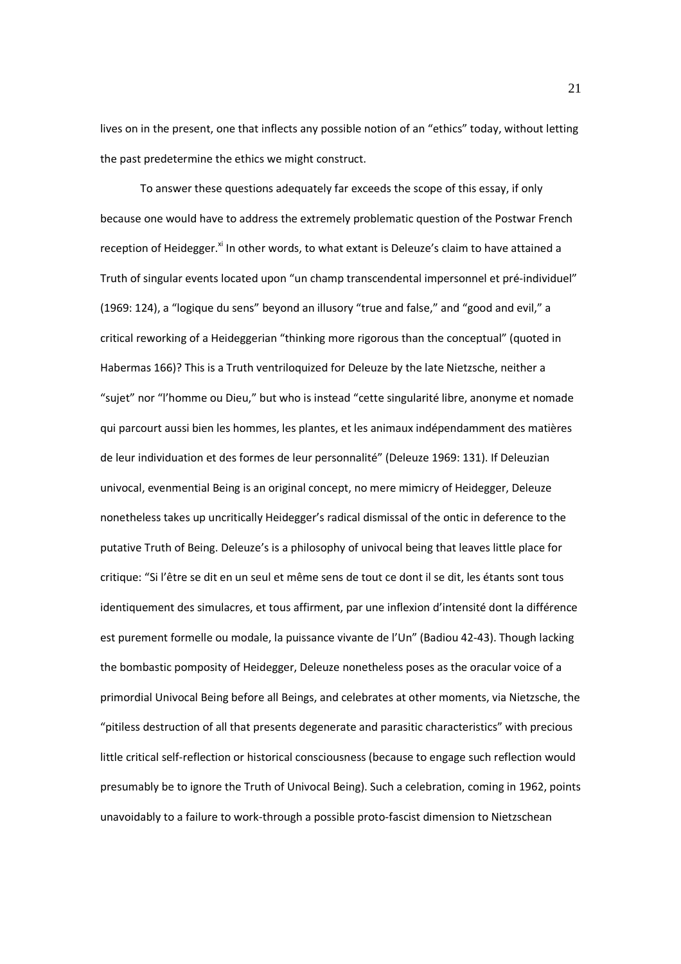lives on in the present, one that inflects any possible notion of an "ethics" today, without letting the past predetermine the ethics we might construct.

To answer these questions adequately far exceeds the scope of this essay, if only because one would have to address the extremely problematic question of the Postwar French reception of Heidegger.<sup>xi</sup> In other words, to what extant is Deleuze's claim to have attained a Truth of singular events located upon "un champ transcendental impersonnel et pré-individuel" (1969: 124), a "logique du sens" beyond an illusory "true and false," and "good and evil," a critical reworking of a Heideggerian "thinking more rigorous than the conceptual" (quoted in Habermas 166)? This is a Truth ventriloquized for Deleuze by the late Nietzsche, neither a "sujet" nor "l'homme ou Dieu," but who is instead "cette singularité libre, anonyme et nomade qui parcourt aussi bien les hommes, les plantes, et les animaux indépendamment des matières de leur individuation et des formes de leur personnalité" (Deleuze 1969: 131). If Deleuzian univocal, evenmential Being is an original concept, no mere mimicry of Heidegger, Deleuze nonetheless takes up uncritically Heidegger's radical dismissal of the ontic in deference to the putative Truth of Being. Deleuze's is a philosophy of univocal being that leaves little place for critique: "Si l'être se dit en un seul et même sens de tout ce dont il se dit, les étants sont tous identiquement des simulacres, et tous affirment, par une inflexion d'intensité dont la différence est purement formelle ou modale, la puissance vivante de l'Un" (Badiou 42-43). Though lacking the bombastic pomposity of Heidegger, Deleuze nonetheless poses as the oracular voice of a primordial Univocal Being before all Beings, and celebrates at other moments, via Nietzsche, the "pitiless destruction of all that presents degenerate and parasitic characteristics" with precious little critical self-reflection or historical consciousness (because to engage such reflection would presumably be to ignore the Truth of Univocal Being). Such a celebration, coming in 1962, points unavoidably to a failure to work-through a possible proto-fascist dimension to Nietzschean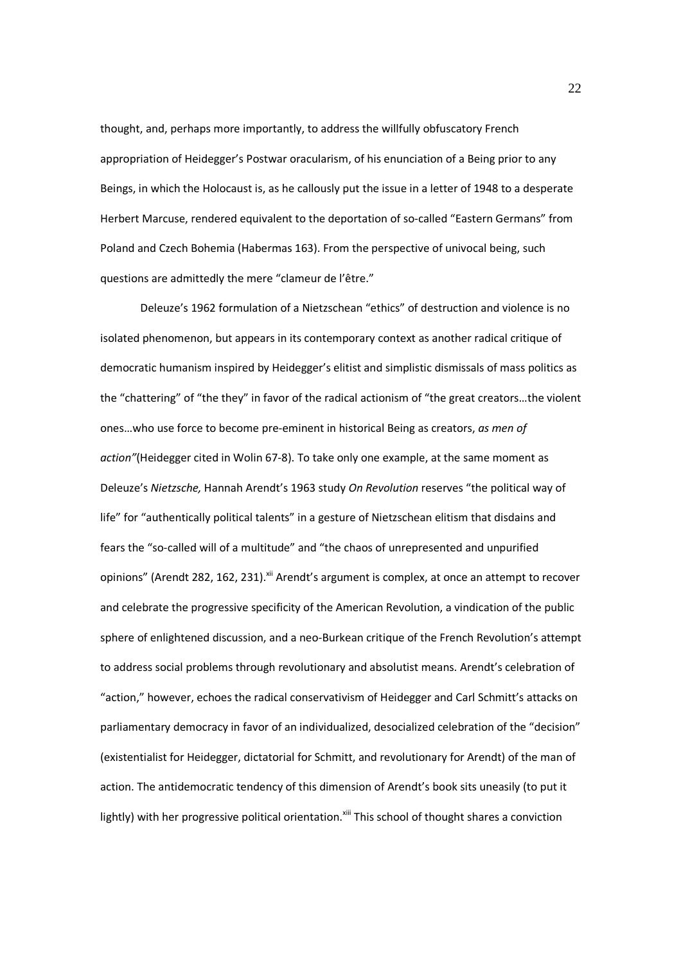thought, and, perhaps more importantly, to address the willfully obfuscatory French appropriation of Heidegger's Postwar oracularism, of his enunciation of a Being prior to any Beings, in which the Holocaust is, as he callously put the issue in a letter of 1948 to a desperate Herbert Marcuse, rendered equivalent to the deportation of so-called "Eastern Germans" from Poland and Czech Bohemia (Habermas 163). From the perspective of univocal being, such questions are admittedly the mere "clameur de l'être."

Deleuze's 1962 formulation of a Nietzschean "ethics" of destruction and violence is no isolated phenomenon, but appears in its contemporary context as another radical critique of democratic humanism inspired by Heidegger's elitist and simplistic dismissals of mass politics as the "chattering" of "the they" in favor of the radical actionism of "the great creators…the violent ones…who use force to become pre-eminent in historical Being as creators, *as men of action"*(Heidegger cited in Wolin 67-8). To take only one example, at the same moment as Deleuze's *Nietzsche,* Hannah Arendt's 1963 study *On Revolution* reserves "the political way of life" for "authentically political talents" in a gesture of Nietzschean elitism that disdains and fears the "so-called will of a multitude" and "the chaos of unrepresented and unpurified opinions" (Arendt 282, 162, 231).<sup>xii</sup> Arendt's argument is complex, at once an attempt to recover and celebrate the progressive specificity of the American Revolution, a vindication of the public sphere of enlightened discussion, and a neo-Burkean critique of the French Revolution's attempt to address social problems through revolutionary and absolutist means. Arendt's celebration of "action," however, echoes the radical conservativism of Heidegger and Carl Schmitt's attacks on parliamentary democracy in favor of an individualized, desocialized celebration of the "decision" (existentialist for Heidegger, dictatorial for Schmitt, and revolutionary for Arendt) of the man of action. The antidemocratic tendency of this dimension of Arendt's book sits uneasily (to put it lightly) with her progressive political orientation.<sup>xiii</sup> This school of thought shares a conviction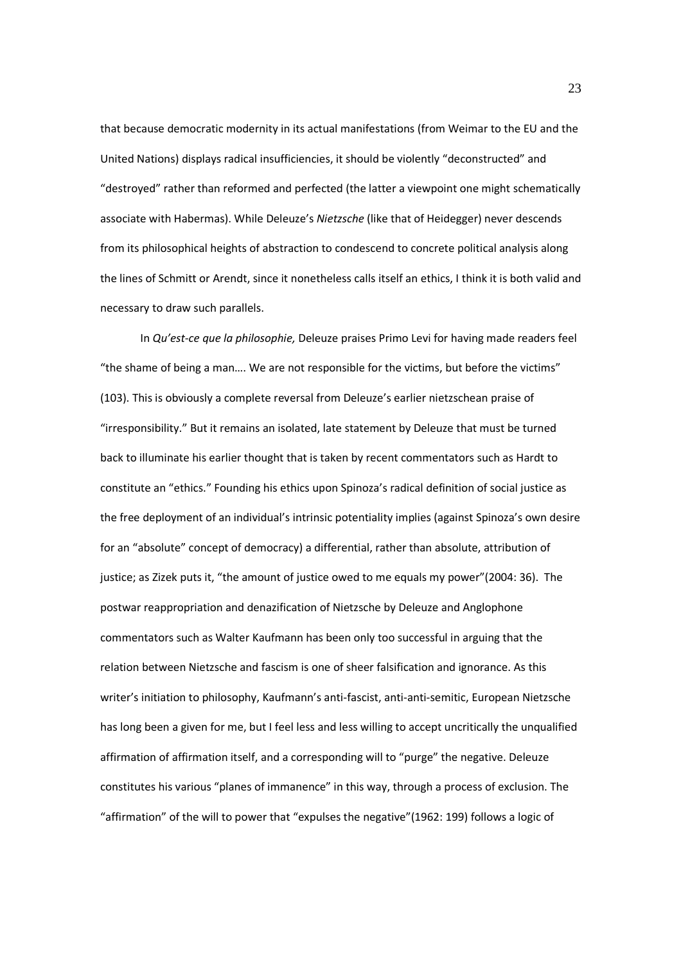that because democratic modernity in its actual manifestations (from Weimar to the EU and the United Nations) displays radical insufficiencies, it should be violently "deconstructed" and "destroyed" rather than reformed and perfected (the latter a viewpoint one might schematically associate with Habermas). While Deleuze's *Nietzsche* (like that of Heidegger) never descends from its philosophical heights of abstraction to condescend to concrete political analysis along the lines of Schmitt or Arendt, since it nonetheless calls itself an ethics, I think it is both valid and necessary to draw such parallels.

In *Qu'est-ce que la philosophie,* Deleuze praises Primo Levi for having made readers feel "the shame of being a man…. We are not responsible for the victims, but before the victims" (103). This is obviously a complete reversal from Deleuze's earlier nietzschean praise of "irresponsibility." But it remains an isolated, late statement by Deleuze that must be turned back to illuminate his earlier thought that is taken by recent commentators such as Hardt to constitute an "ethics." Founding his ethics upon Spinoza's radical definition of social justice as the free deployment of an individual's intrinsic potentiality implies (against Spinoza's own desire for an "absolute" concept of democracy) a differential, rather than absolute, attribution of justice; as Zizek puts it, "the amount of justice owed to me equals my power"(2004: 36). The postwar reappropriation and denazification of Nietzsche by Deleuze and Anglophone commentators such as Walter Kaufmann has been only too successful in arguing that the relation between Nietzsche and fascism is one of sheer falsification and ignorance. As this writer's initiation to philosophy, Kaufmann's anti-fascist, anti-anti-semitic, European Nietzsche has long been a given for me, but I feel less and less willing to accept uncritically the unqualified affirmation of affirmation itself, and a corresponding will to "purge" the negative. Deleuze constitutes his various "planes of immanence" in this way, through a process of exclusion. The "affirmation" of the will to power that "expulses the negative"(1962: 199) follows a logic of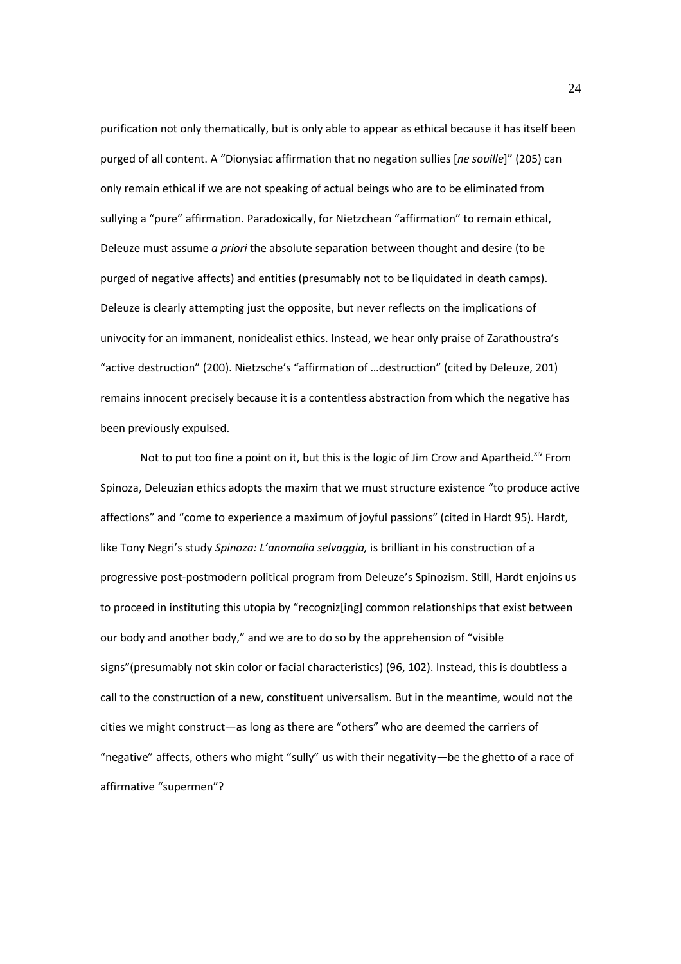purification not only thematically, but is only able to appear as ethical because it has itself been purged of all content. A "Dionysiac affirmation that no negation sullies [*ne souille*]" (205) can only remain ethical if we are not speaking of actual beings who are to be eliminated from sullying a "pure" affirmation. Paradoxically, for Nietzchean "affirmation" to remain ethical, Deleuze must assume *a priori* the absolute separation between thought and desire (to be purged of negative affects) and entities (presumably not to be liquidated in death camps). Deleuze is clearly attempting just the opposite, but never reflects on the implications of univocity for an immanent, nonidealist ethics. Instead, we hear only praise of Zarathoustra's "active destruction" (200). Nietzsche's "affirmation of …destruction" (cited by Deleuze, 201) remains innocent precisely because it is a contentless abstraction from which the negative has been previously expulsed.

Not to put too fine a point on it, but this is the logic of Jim Crow and Apartheid. $x^i$  From Spinoza, Deleuzian ethics adopts the maxim that we must structure existence "to produce active affections" and "come to experience a maximum of joyful passions" (cited in Hardt 95). Hardt, like Tony Negri's study *Spinoza: L'anomalia selvaggia,* is brilliant in his construction of a progressive post-postmodern political program from Deleuze's Spinozism. Still, Hardt enjoins us to proceed in instituting this utopia by "recogniz[ing] common relationships that exist between our body and another body," and we are to do so by the apprehension of "visible signs"(presumably not skin color or facial characteristics) (96, 102). Instead, this is doubtless a call to the construction of a new, constituent universalism. But in the meantime, would not the cities we might construct—as long as there are "others" who are deemed the carriers of "negative" affects, others who might "sully" us with their negativity—be the ghetto of a race of affirmative "supermen"?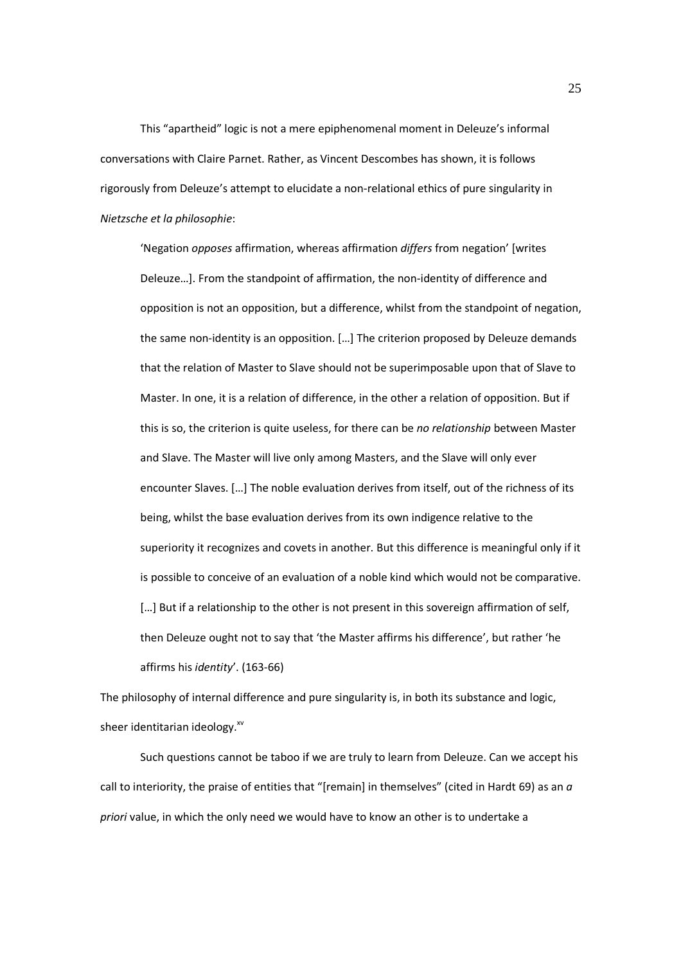This "apartheid" logic is not a mere epiphenomenal moment in Deleuze's informal conversations with Claire Parnet. Rather, as Vincent Descombes has shown, it is follows rigorously from Deleuze's attempt to elucidate a non-relational ethics of pure singularity in *Nietzsche et la philosophie*:

'Negation *opposes* affirmation, whereas affirmation *differs* from negation' [writes Deleuze…]. From the standpoint of affirmation, the non-identity of difference and opposition is not an opposition, but a difference, whilst from the standpoint of negation, the same non-identity is an opposition. […] The criterion proposed by Deleuze demands that the relation of Master to Slave should not be superimposable upon that of Slave to Master. In one, it is a relation of difference, in the other a relation of opposition. But if this is so, the criterion is quite useless, for there can be *no relationship* between Master and Slave. The Master will live only among Masters, and the Slave will only ever encounter Slaves. […] The noble evaluation derives from itself, out of the richness of its being, whilst the base evaluation derives from its own indigence relative to the superiority it recognizes and covets in another. But this difference is meaningful only if it is possible to conceive of an evaluation of a noble kind which would not be comparative. [...] But if a relationship to the other is not present in this sovereign affirmation of self, then Deleuze ought not to say that 'the Master affirms his difference', but rather 'he affirms his *identity*'. (163-66)

The philosophy of internal difference and pure singularity is, in both its substance and logic, sheer identitarian ideology. $^{x^{y}}$ 

Such questions cannot be taboo if we are truly to learn from Deleuze. Can we accept his call to interiority, the praise of entities that "[remain] in themselves" (cited in Hardt 69) as an *a priori* value, in which the only need we would have to know an other is to undertake a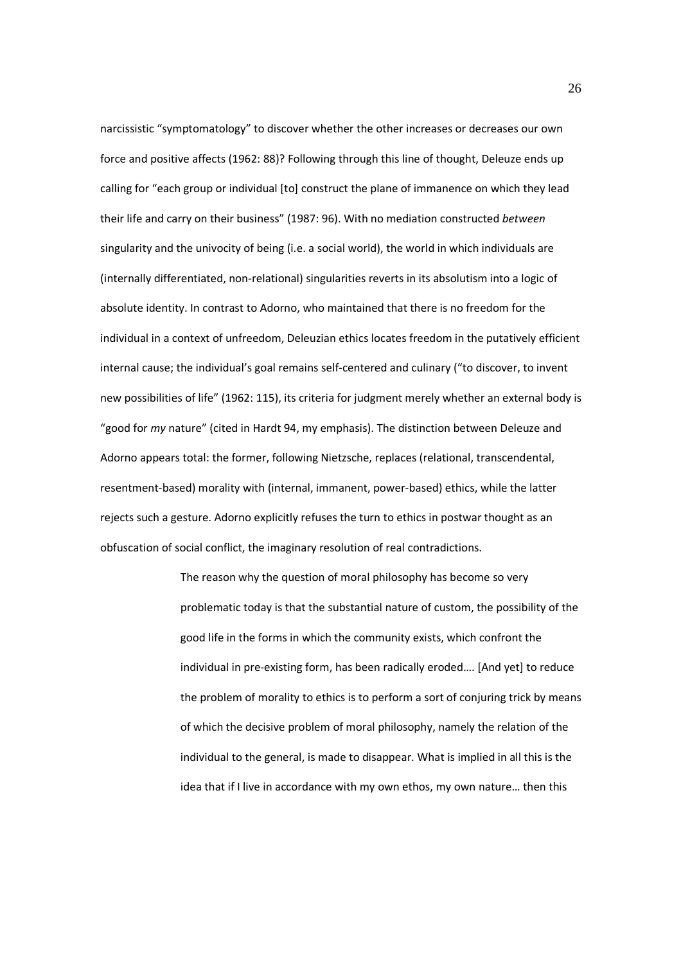narcissistic "symptomatology" to discover whether the other increases or decreases our own force and positive affects (1962: 88)? Following through this line of thought, Deleuze ends up calling for "each group or individual [to] construct the plane of immanence on which they lead their life and carry on their business" (1987: 96). With no mediation constructed *between*  singularity and the univocity of being (i.e. a social world), the world in which individuals are (internally differentiated, non-relational) singularities reverts in its absolutism into a logic of absolute identity. In contrast to Adorno, who maintained that there is no freedom for the individual in a context of unfreedom, Deleuzian ethics locates freedom in the putatively efficient internal cause; the individual's goal remains self-centered and culinary ("to discover, to invent new possibilities of life" (1962: 115), its criteria for judgment merely whether an external body is "good for *my* nature" (cited in Hardt 94, my emphasis). The distinction between Deleuze and Adorno appears total: the former, following Nietzsche, replaces (relational, transcendental, resentment-based) morality with (internal, immanent, power-based) ethics, while the latter rejects such a gesture. Adorno explicitly refuses the turn to ethics in postwar thought as an obfuscation of social conflict, the imaginary resolution of real contradictions.

> The reason why the question of moral philosophy has become so very problematic today is that the substantial nature of custom, the possibility of the good life in the forms in which the community exists, which confront the individual in pre-existing form, has been radically eroded…. [And yet] to reduce the problem of morality to ethics is to perform a sort of conjuring trick by means of which the decisive problem of moral philosophy, namely the relation of the individual to the general, is made to disappear. What is implied in all this is the idea that if I live in accordance with my own ethos, my own nature… then this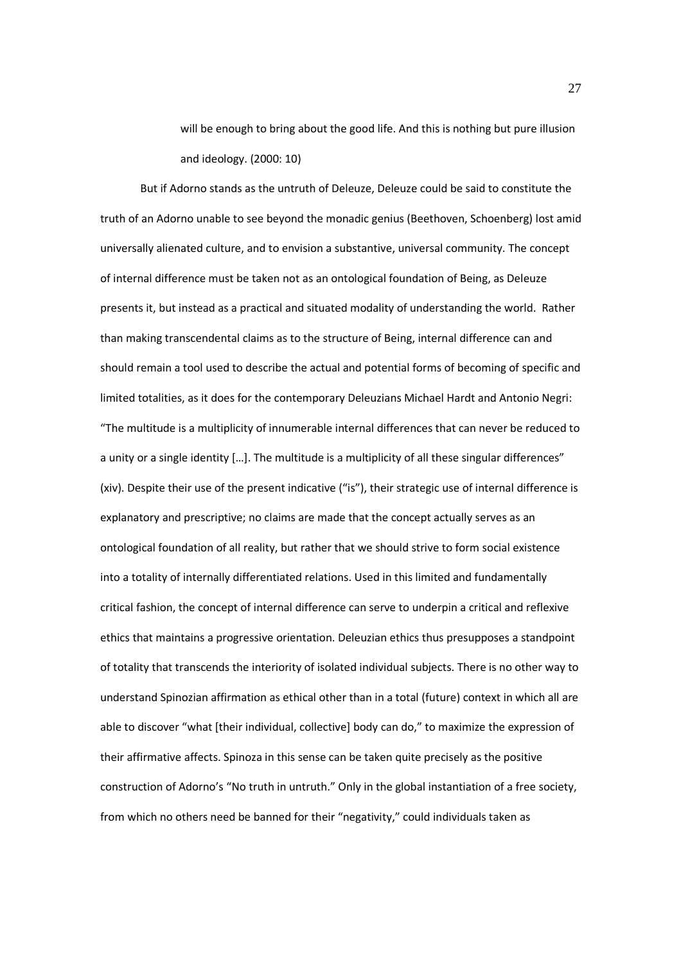will be enough to bring about the good life. And this is nothing but pure illusion and ideology. (2000: 10)

But if Adorno stands as the untruth of Deleuze, Deleuze could be said to constitute the truth of an Adorno unable to see beyond the monadic genius (Beethoven, Schoenberg) lost amid universally alienated culture, and to envision a substantive, universal community. The concept of internal difference must be taken not as an ontological foundation of Being, as Deleuze presents it, but instead as a practical and situated modality of understanding the world. Rather than making transcendental claims as to the structure of Being, internal difference can and should remain a tool used to describe the actual and potential forms of becoming of specific and limited totalities, as it does for the contemporary Deleuzians Michael Hardt and Antonio Negri: "The multitude is a multiplicity of innumerable internal differences that can never be reduced to a unity or a single identity [...]. The multitude is a multiplicity of all these singular differences" (xiv). Despite their use of the present indicative ("is"), their strategic use of internal difference is explanatory and prescriptive; no claims are made that the concept actually serves as an ontological foundation of all reality, but rather that we should strive to form social existence into a totality of internally differentiated relations. Used in this limited and fundamentally critical fashion, the concept of internal difference can serve to underpin a critical and reflexive ethics that maintains a progressive orientation. Deleuzian ethics thus presupposes a standpoint of totality that transcends the interiority of isolated individual subjects. There is no other way to understand Spinozian affirmation as ethical other than in a total (future) context in which all are able to discover "what [their individual, collective] body can do," to maximize the expression of their affirmative affects. Spinoza in this sense can be taken quite precisely as the positive construction of Adorno's "No truth in untruth." Only in the global instantiation of a free society, from which no others need be banned for their "negativity," could individuals taken as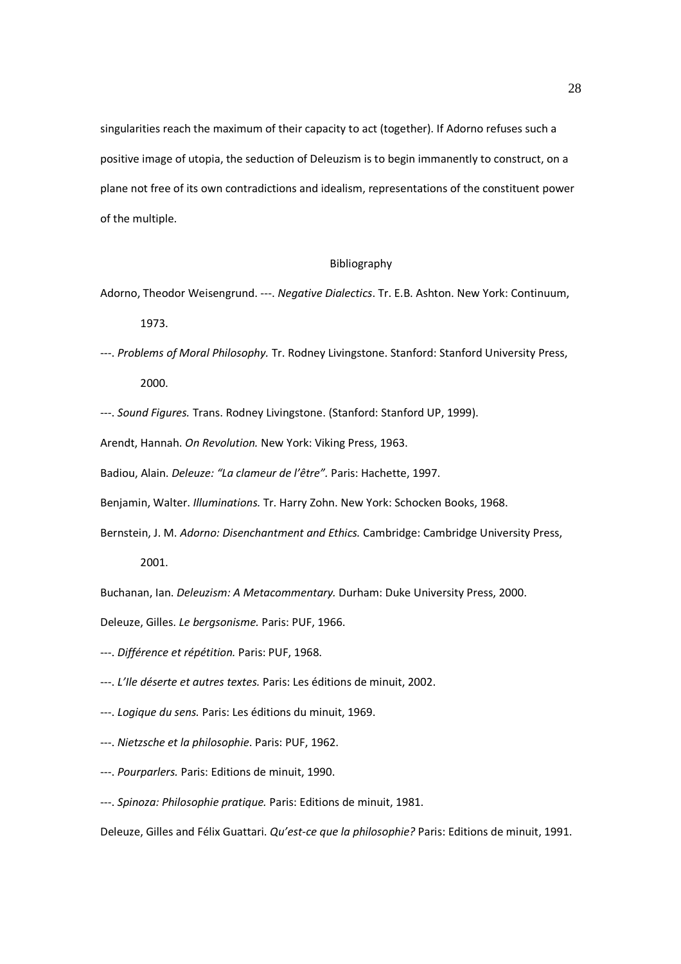singularities reach the maximum of their capacity to act (together). If Adorno refuses such a positive image of utopia, the seduction of Deleuzism is to begin immanently to construct, on a plane not free of its own contradictions and idealism, representations of the constituent power of the multiple.

## Bibliography

Adorno, Theodor Weisengrund. ---. *Negative Dialectics*. Tr. E.B. Ashton. New York: Continuum, 1973.

---. *Problems of Moral Philosophy.* Tr. Rodney Livingstone. Stanford: Stanford University Press, 2000.

---. *Sound Figures.* Trans. Rodney Livingstone. (Stanford: Stanford UP, 1999).

Arendt, Hannah. *On Revolution.* New York: Viking Press, 1963.

Badiou, Alain. *Deleuze: "La clameur de l'être".* Paris: Hachette, 1997.

Benjamin, Walter. *Illuminations.* Tr. Harry Zohn. New York: Schocken Books, 1968.

Bernstein, J. M. *Adorno: Disenchantment and Ethics.* Cambridge: Cambridge University Press,

2001.

Buchanan, Ian. *Deleuzism: A Metacommentary.* Durham: Duke University Press, 2000.

Deleuze, Gilles. *Le bergsonisme.* Paris: PUF, 1966.

- ---. *Différence et répétition.* Paris: PUF, 1968.
- ---. *L'Ile déserte et autres textes.* Paris: Les éditions de minuit, 2002.
- ---. *Logique du sens.* Paris: Les éditions du minuit, 1969.
- ---. *Nietzsche et la philosophie*. Paris: PUF, 1962.
- ---. *Pourparlers.* Paris: Editions de minuit, 1990.

---. *Spinoza: Philosophie pratique.* Paris: Editions de minuit, 1981.

Deleuze, Gilles and Félix Guattari. *Qu'est-ce que la philosophie?* Paris: Editions de minuit, 1991.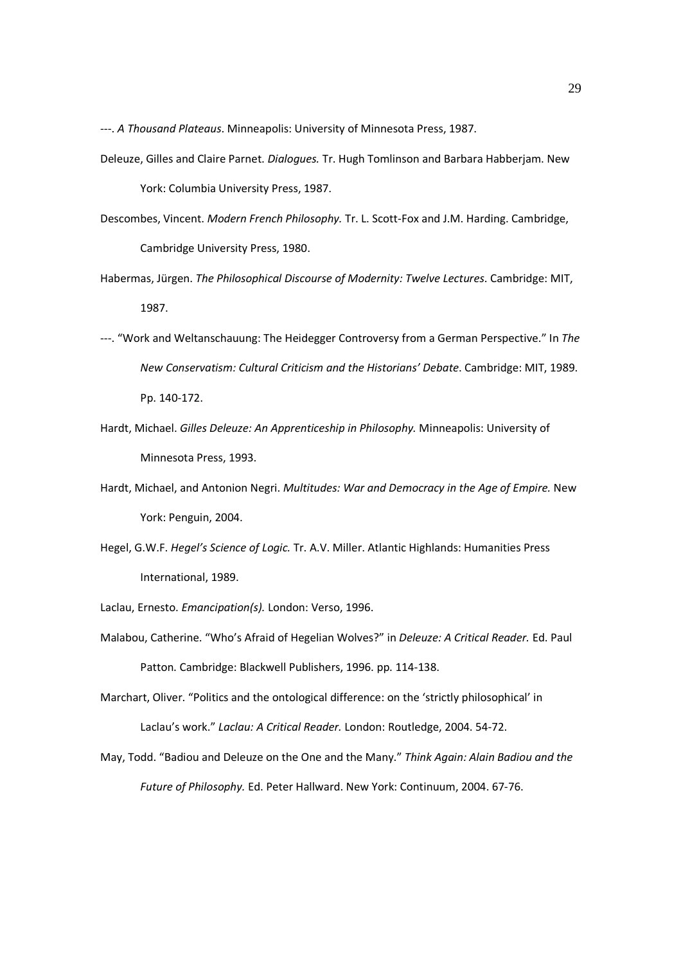---. *A Thousand Plateaus*. Minneapolis: University of Minnesota Press, 1987.

- Deleuze, Gilles and Claire Parnet. *Dialogues.* Tr. Hugh Tomlinson and Barbara Habberjam. New York: Columbia University Press, 1987.
- Descombes, Vincent. *Modern French Philosophy.* Tr. L. Scott-Fox and J.M. Harding. Cambridge, Cambridge University Press, 1980.
- Habermas, Jürgen. *The Philosophical Discourse of Modernity: Twelve Lectures*. Cambridge: MIT, 1987.
- ---. "Work and Weltanschauung: The Heidegger Controversy from a German Perspective." In *The New Conservatism: Cultural Criticism and the Historians' Debate*. Cambridge: MIT, 1989. Pp. 140-172.
- Hardt, Michael. *Gilles Deleuze: An Apprenticeship in Philosophy.* Minneapolis: University of Minnesota Press, 1993.
- Hardt, Michael, and Antonion Negri. *Multitudes: War and Democracy in the Age of Empire.* New York: Penguin, 2004.
- Hegel, G.W.F. *Hegel's Science of Logic.* Tr. A.V. Miller. Atlantic Highlands: Humanities Press International, 1989.
- Laclau, Ernesto. *Emancipation(s).* London: Verso, 1996.
- Malabou, Catherine. "Who's Afraid of Hegelian Wolves?" in *Deleuze: A Critical Reader.* Ed. Paul Patton. Cambridge: Blackwell Publishers, 1996. pp. 114-138.
- Marchart, Oliver. "Politics and the ontological difference: on the 'strictly philosophical' in Laclau's work." *Laclau: A Critical Reader.* London: Routledge, 2004. 54-72.
- May, Todd. "Badiou and Deleuze on the One and the Many." *Think Again: Alain Badiou and the Future of Philosophy.* Ed. Peter Hallward. New York: Continuum, 2004. 67-76.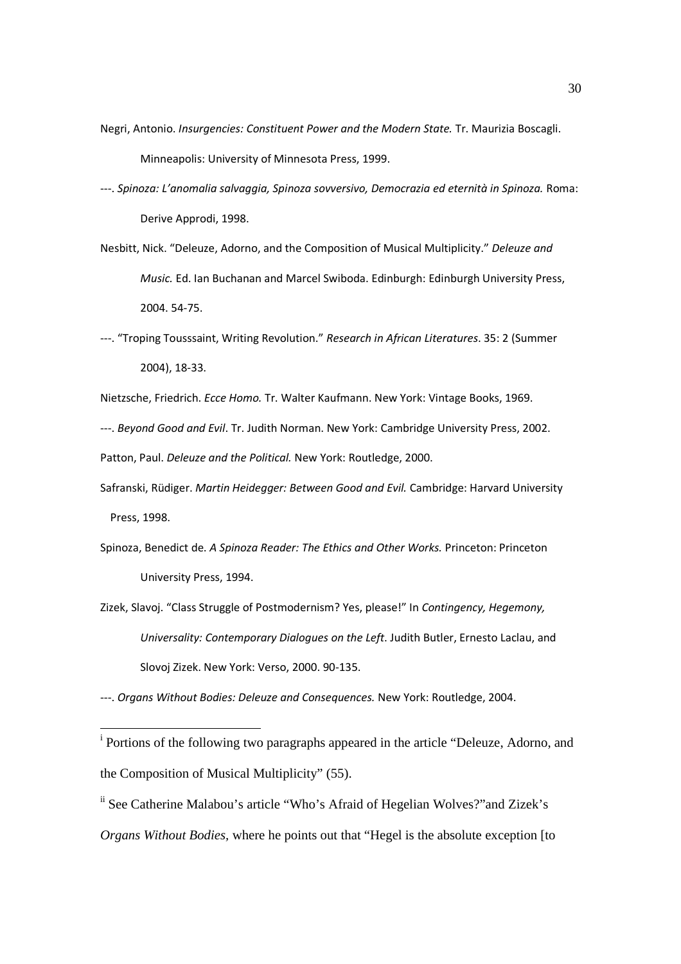- Negri, Antonio. *Insurgencies: Constituent Power and the Modern State.* Tr. Maurizia Boscagli. Minneapolis: University of Minnesota Press, 1999.
- ---. *Spinoza: L'anomalia salvaggia, Spinoza sovversivo, Democrazia ed eternità in Spinoza.* Roma: Derive Approdi, 1998.
- Nesbitt, Nick. "Deleuze, Adorno, and the Composition of Musical Multiplicity." *Deleuze and Music.* Ed. Ian Buchanan and Marcel Swiboda. Edinburgh: Edinburgh University Press, 2004. 54-75.
- ---. "Troping Tousssaint, Writing Revolution." *Research in African Literatures*. 35: 2 (Summer 2004), 18-33.
- Nietzsche, Friedrich. *Ecce Homo.* Tr. Walter Kaufmann. New York: Vintage Books, 1969.
- ---. *Beyond Good and Evil*. Tr. Judith Norman. New York: Cambridge University Press, 2002.

Patton, Paul. *Deleuze and the Political.* New York: Routledge, 2000.

- Safranski, Rüdiger. *Martin Heidegger: Between Good and Evil.* Cambridge: Harvard University Press, 1998.
- Spinoza, Benedict de. *A Spinoza Reader: The Ethics and Other Works.* Princeton: Princeton University Press, 1994.
- Zizek, Slavoj. "Class Struggle of Postmodernism? Yes, please!" In *Contingency, Hegemony, Universality: Contemporary Dialogues on the Left*. Judith Butler, Ernesto Laclau, and Slovoj Zizek. New York: Verso, 2000. 90-135.

---. *Organs Without Bodies: Deleuze and Consequences.* New York: Routledge, 2004.

-

<sup>&</sup>lt;sup>i</sup> Portions of the following two paragraphs appeared in the article "Deleuze, Adorno, and the Composition of Musical Multiplicity" (55).

ii See Catherine Malabou's article "Who's Afraid of Hegelian Wolves?"and Zizek's *Organs Without Bodies,* where he points out that "Hegel is the absolute exception [to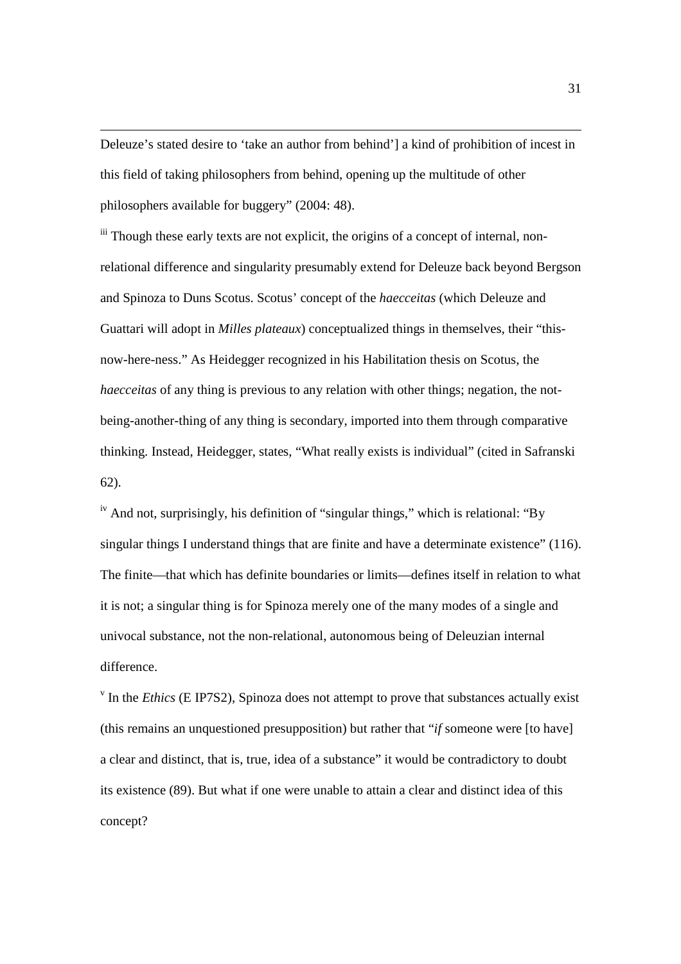Deleuze's stated desire to 'take an author from behind'] a kind of prohibition of incest in this field of taking philosophers from behind, opening up the multitude of other philosophers available for buggery" (2004: 48).

l

iii Though these early texts are not explicit, the origins of a concept of internal, nonrelational difference and singularity presumably extend for Deleuze back beyond Bergson and Spinoza to Duns Scotus. Scotus' concept of the *haecceitas* (which Deleuze and Guattari will adopt in *Milles plateaux*) conceptualized things in themselves, their "thisnow-here-ness." As Heidegger recognized in his Habilitation thesis on Scotus, the *haecceitas* of any thing is previous to any relation with other things; negation, the notbeing-another-thing of any thing is secondary, imported into them through comparative thinking. Instead, Heidegger, states, "What really exists is individual" (cited in Safranski 62).

 $\mu$ <sup>iv</sup> And not, surprisingly, his definition of "singular things," which is relational: "By singular things I understand things that are finite and have a determinate existence" (116). The finite—that which has definite boundaries or limits—defines itself in relation to what it is not; a singular thing is for Spinoza merely one of the many modes of a single and univocal substance, not the non-relational, autonomous being of Deleuzian internal difference.

 $\mathbf{v}$  In the *Ethics* (E IP7S2), Spinoza does not attempt to prove that substances actually exist (this remains an unquestioned presupposition) but rather that "*if* someone were [to have] a clear and distinct, that is, true, idea of a substance" it would be contradictory to doubt its existence (89). But what if one were unable to attain a clear and distinct idea of this concept?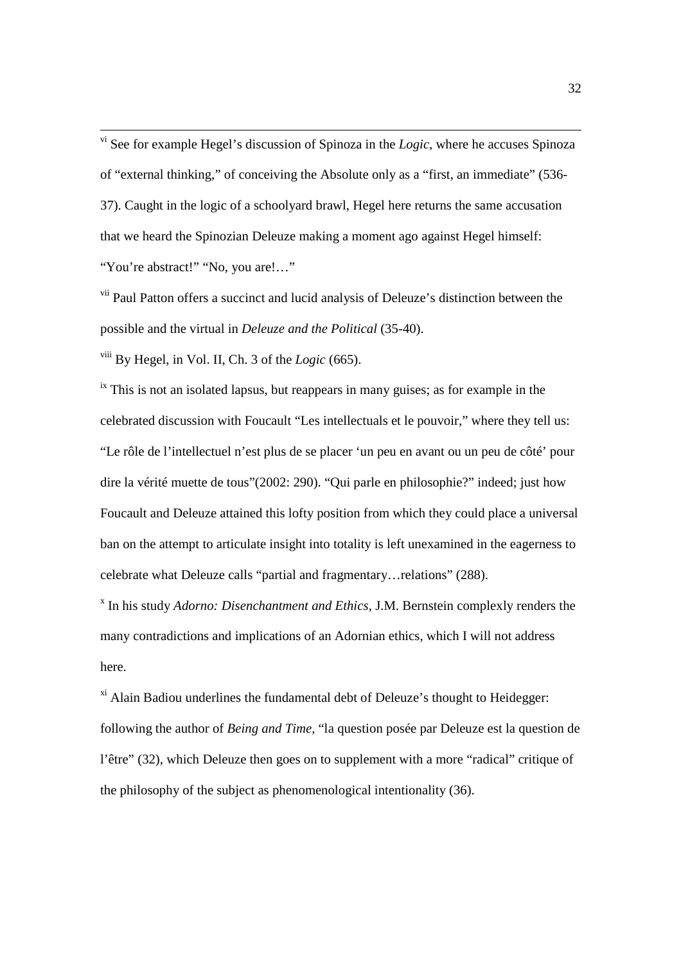vi See for example Hegel's discussion of Spinoza in the *Logic,* where he accuses Spinoza of "external thinking," of conceiving the Absolute only as a "first, an immediate" (536- 37). Caught in the logic of a schoolyard brawl, Hegel here returns the same accusation that we heard the Spinozian Deleuze making a moment ago against Hegel himself: "You're abstract!" "No, you are!…"

<sup>vii</sup> Paul Patton offers a succinct and lucid analysis of Deleuze's distinction between the possible and the virtual in *Deleuze and the Political* (35-40).

viii By Hegel, in Vol. II, Ch. 3 of the *Logic* (665).

l

 $\frac{1}{x}$  This is not an isolated lapsus, but reappears in many guises; as for example in the celebrated discussion with Foucault "Les intellectuals et le pouvoir," where they tell us: "Le rôle de l'intellectuel n'est plus de se placer 'un peu en avant ou un peu de côté' pour dire la vérité muette de tous"(2002: 290). "Qui parle en philosophie?" indeed; just how Foucault and Deleuze attained this lofty position from which they could place a universal ban on the attempt to articulate insight into totality is left unexamined in the eagerness to celebrate what Deleuze calls "partial and fragmentary…relations" (288).

x In his study *Adorno: Disenchantment and Ethics,* J.M. Bernstein complexly renders the many contradictions and implications of an Adornian ethics, which I will not address here.

 $x_i$ <sup>xi</sup> Alain Badiou underlines the fundamental debt of Deleuze's thought to Heidegger: following the author of *Being and Time,* "la question posée par Deleuze est la question de l'être" (32), which Deleuze then goes on to supplement with a more "radical" critique of the philosophy of the subject as phenomenological intentionality (36).